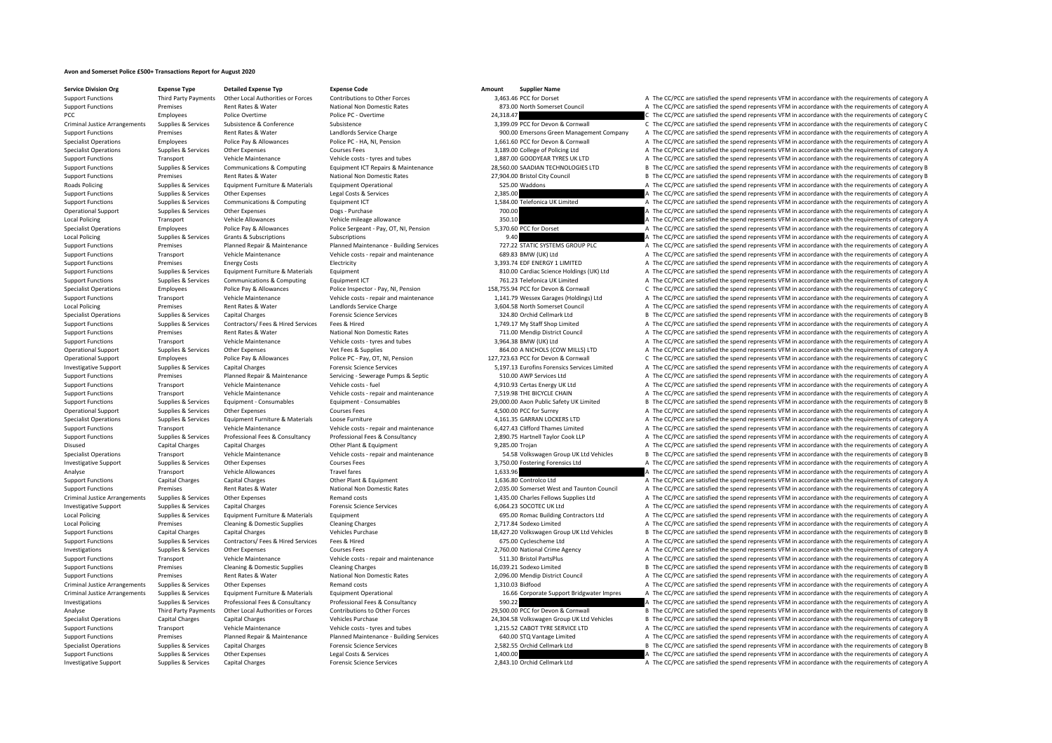## **Avon and Somerset Police £500+ Transactions Report for August 2020**

**Service Division Org**<br> **Support Eurotions**<br> **Support Eurotions Third Party Payments** Other Local Authorities or Forces Contributions to Other Forces and a 148146 PCC for Docset

Third Party Payments Other Local Authorities or Forces Contributions to Other Forces 3,463.46 PCC for Dorset A The CC/PCC are satisfied the spend represents VFM in accordance with the requirements of category A The CC/PCC Premises Rent Rates & Water National Non Domestic Rates 873.00 North Somerset Council A The CC/PCC are satisfied the spend represents VFM in accordance with the requirements of category A PCC Employees Police Overtime Police PC - Overtime Police PC - Overtime 24,318.47 CHO DO 24,318.47 C The CC/PCC are satisfied the spend represents VFM in accordance with the requirements of category C<br>2.399.09 PCC for De Criminal Justice Arrangements Supplies & Services Subsistence Subsistence Subsistence Subsistence Subsistence Subsistence Subsistence Subsistence Subsistence Subsistence Subsistence Subsistence Subsistence Subsistence Subs Support Functions Premises Rent Rates & Water Landlords Service Charge 900.00 Emersons Green Management Company A The CC/PCC are satisfied the spend represents VFM in accordance with the requirements of category A Specialist Operations Employees Police Pay & Allowances Police PC - HA, NI, Pension 1,661.60 PCC for Devon & Cornwall A The CC/PCC are satisfied the spend represents VFM in accordance with the requirements of category A Specialist Operations Supplies & Services Other Expenses Courses Fees Courses Fees Courses Fees 3,189.00 College of Policing Ltd A The CC/PCC are satisfied the spend represents VFM in accordance with the requirements of ca Support Functions Transport Vehicle Maintenance Vehicle costs – tyres and tubes 1,887.00 GOODYEAR TYRES UK LTD A The CC/PCC are satisfied the spend represents VFM in accordance with the requirements of category A The costs Sunnort Eunctions Sunnities & Services Communications & Communications Communications Communications Communications Foujument ICT Repairs & Maintenance 28 S60.00 SAADIAN TECHNOLOGIES ITD R The CC/PCC are satisfied the spen Support Functions Premises Rent Rates Rent Rates Rent Rates National Non Domestic Rates 27,904.00 Bristol City Council B The CC/PCC are satisfied the spend represents VFM in accordance with the requirements of category B<br>B Roads Policing Supplies & Services Equipment Furniture & Materials Equipment Operational Equipment Operational 525.00 Waddons A The CC/PCC are satisfied the spend represents VFM in accordance with the requirements of categ Support Functions Supplies & Services Other Expenses Legal Costs & Services Legal Costs & Services Legal Costs & Services 2,385.00 Clefonica UK Limited A The CC/PCC are satisfied the spend represents VFM in accordance with Support Functions Supplies & Services Communications & Computing Equipment ICT 1,584.00 Telefonica UK Limited A The CC/PCC are satisfied the spend represents VFM in accordance with the requirements of category A Operational Support Supplies & Services Other Expenses Dogs - Purchase Dogs - Purchase Dogs and Dogs and The CC/PCC are satisfied the spend represents VFM in accordance with the requirements of category A The Support Trans Local Policing Transport Vehicle Allowances Vehicle mileage allowance Vehicle mileage allowance Vehicle mileage allowance Vehicle mileage allowance 350.10 A The CC/PCC are satisfied the spend represents VFM in accordance w Specialist Operations Employees Police Pay & Allowances Police Sergeant - Pay, OT, NI, Pension 5,370.60 PCC for Dorset A The CC/PCC are satisfied the spend represents VFM in accordance with the requirements of category A Local Policing Supplies Services Grants & Subscriptions Subscriptions Subscriptions Subscriptions Subscriptions<br>Support Parameters Planned Maintenance Planned Maintenance Building Services 777.22 STATIC SYSTEMS GROUP PIC A A The CC/PCC are satisfied the spend represents VFM in accordance with the requirements of category A Support Functions Transport Vehicle Maintenance Vehicle costs - repair and maintenance 689.83 BMW (UK) Ltd A The CC/PCC are satisfied the spend represents VFM in accordance with the requirements of category A Support Functions Premises Energy Costs Electricity Electricity Electricity and the spend and the CC/PCC are satisfied the spend represents VFM in accordance with the requirements of category A Support Functions Supplies & Services Equipment Furniture & Materials Equipment Equipment Equipment Equipment and the Support and the Support A The CC/PCC are satisfied the spend represents VFM in accordance with the requi Support Functions Support Functions Supplies A The CC/PCC are satisfied the spend represents VFM in accordance with the requirements of category A The CC/PCC are satisfied the spend represents VFM in accordance with the re Specialist Operations Employees Police Pay & Allowances Police Inspector - Pay, NI, Pension 258,755.94 PCC for Devon & Commall C The CC/PCC are satisfied the spend represents VFM in accordance with the requirements of cate Support Functions Transport Vehicle Maintenance Vehicle costs - repair and maintenance Vehicle costs - repair and maintenance 2.1.141.79 Wessex Garages (Holdings) Ltd A The CC/PCC are satisfied the spend represents VFM in Local Policing Premises Premises Rent Rates & Water Landlords Service Charge 2012 and a Spend and Spend and Spend and Spend and The CC/PCC are satisfied the spend represents VFM in accordance with the requirements of categ B The CC/PCC are satisfied the spend represents VFM in accordance with the requirements of category B Support Functions Supplies & Services Contractors/ Fees & Hired Services Fees & Hired 1,749.17 My Staff Shop Limited A The CC/PCC are satisfied the spend represents VFM in accordance with the requirements of category A Support Functions Premises Rent Rates & Water National Non Domestic Rates 711.00 Mendip District Council A The CC/PCC are satisfied the spend represents VFM in accordance with the requirements of category A Support Functions Transport Vehicle Maintenance Vehicle costs – tyres and tubes 3,964.38 BMW (UK) Ltd A The CC/PCC are satisfied the spend represents VFM in accordance with the requirements of category A The CC/PCC are sat A The CC/PCC are satisfied the spend represents VFM in accordance with the requirements of category A Operational Support Employees Police Pay & Allowances Police PC - Pay, OT, NI, Pension 127,723.63 PCC for Devon & Cornwall C The CC/PCC are satisfied the spend represents VFM in accordance with the requirements of category Investigative Support Supplies & Services Capital Charges Forensic Science Services 5,197.13 Eurofins Forensics Services Limited A The CC/PCC are satisfied the spend represents VFM in accordance with the requirements of category A Support Functions Premises Planned Repair & Maintenance Servicing - Servicing - Servicing + Septic 510.00 AWP Services Ltd A The CC/PCC are satisfied the spend represents VFM in accordance with the requirements of category Support Functions Transport Vehicle Maintenance Vehicle costs – fuel vehicle costs – fuel 4,910.93 Certas Energy UK Ltd A The CC/PCC are satisfied the spend represents VFM in accordance with the requirements of category A Support Functions Transport Vehicle Maintenance Vehicle costs – repair and maintenance 7,519.98 THE BICYCLE CHAIN A The CC/PCC are satisfied the spend represents VFM in accordance with the requirements of category A The CO Support Functions Support Support Services For Consumerables For Function Consumerables For Consumerables For Consumerables (CALC) are attended B The CC/PCC are satisfied the spend represents VEM in accordance with the req Operational Support Supplies & Services Other Expenses Courses Fees Courses Fees Courses Fees 4,500.00 PCC for Surrey A The CC/PCC are satisfied the spend represents VFM in accordance with the requirements of category A Th Specialist Operations Supplies & Services Equipment Furniture & Materials Loose Furniture and maintenance and the spend and the spend and the comparative and the spend represents VFM in accordance with the requirements of Support Functions Transport Vehicle Maintenance Vehicle costs ‐ repair and maintenance vehicle costs ‐ repair and maintenance a security of the CC/PCC are satisfied the spend represents VFM in accordance with the requireme Supplies & Services Professional Fees & Consultancy Professional Fees & Consultancy Consultancy 2.890.75 Hartnell Taylor Cook LIP A The CC/PCC are satisfied the spend represents VFM in accordance with the requirements of c Disused Capital Charges Capital Charges Other Plant & Equipment 9,285.00 Trojan A The CC/PCC are satisfied the spend represents VFM in accordance with the requirements of category A Specialist Operations Transport Tensport Vehicle Maintenance Vehicle Courses Fees Vehicle costs - repair and maintenance SALES Vehicle and maintenance and the SALES SPECIAL SALES ON DEATH ON THE CONCORRET ARE CONCORRET A T A The CC/PCC are satisfied the spend represents VFM in accordance with the requirements of category A Analyse Transport Vehicle Allowances Travel fares Travel fares 1,633.96 A The CC/PCC are satisfied the spend represents VFM in accordance with the requirements of category A Support Functions Capital Charges Capital Charges Capital Charges Other Plant & Equipment Other Plant & Equipment 1,636.80 Controlco Ltd A The CC/PCC are satisfied the spend represents VFM in accordance with the requiremen Support Functions Premises Rent Rates & Water National Non Domestic Rates 2,035.00 Somerset West and Taunton Council A The CC/PCC are satisfied the spend represents VFM in accordance with the requirements of category A Criminal Justice Arrangements Supplies & Services Other Expenses Remand costs Remand costs 1,435.00 Charles Fellows Supplies Ltd A The CC/PCC are satisfied the spend represents VFM in accordance with the requirements of ca Investigative Support Supplies & Services Capital Charges Forensic Science Services Forensic Science Services 6,064.23 SOCOTEC UK Ltd A The CC/PCC are satisfied the spend represents VFM in accordance with the requirements Local Policing Supplies Services Equipment Furniture & Materials Equipment Equipment Equipment Equipment Equipment Equipment Equipment and the CONCOL are satisfied the spend represents VFM in accordance with the requiremen Local Policing Premises Cleaning & Domestic Supplies Cleaning Charges Cleaning Charges 2,717.84 Sodexo Limited A The CC/PCC are satisfied the spend represents VFM in accordance with the requirements of category A Support Functions Capital Charges Capital Charges Vehicles Purchase 18,427.20 Volkswagen Group UK Ltd Vehicles B The CC/PCC are satisfied the spend represents VFM in accordance with the requirements of category B Support Functions Supplies & Services Contractors/ Fees & Hired Services Fees & Hired Services Fees & Hired 675.00 Cyclescheme Ltd A The CC/PCC are satisfied the spend represents VFM in accordance with the requirements of Investigations Supplies & Services Other Expenses Courses Fees Courses Courses Courses Courses Courses Courses Courses Courses Courses 2,760.00 National Crime Agency A The CC/PCC are satisfied the spend represents VFM in a Support Support Vehicle Maintenance Vehicle costs, repair and maintenance 511.30 Bristol PartsPlus A The CC/PCC are satisfied the spend represents VFM in accordance with the requirements of category A Support Functions Premises Cleaning & Domestic Supplies Cleaning Charges 16,039.21 Sodexo Limited B The CC/PCC are satisfied the spend represents VFM in accordance with the requirements of category B Support Functions Premises Premises Rent Rates Rent Rates National Non Domestic Rates 2,096.00 Mendip District Council A The CC/PCC are satisfied the spend represents VFM in accordance with the requirements of category A T Criminal Justice Arrangements Supplies & Services Other Expenses Remand costs Remand costs Remand costs 1,310.03 Bidfood A The CC/PCC are satisfied the spend represents VFM in accordance with the requirements of category A Criminal Justice Arrangements Supplies & Services Equipment Furniture & Materials Equipment Operational Equipment Operational and the Support Bridgwater Impres A The CC/PCC are satisfied the spend represents VFM in accorda Investigations Supplies & Services Professional Fees & Consultancy Professional Fees & Consultancy Consultancy 590.22 A The CC/PCC are satisfied the spend represents VFM in accordance with the requirements of category A Third Party Payments Other Local Authorities or Forces Contributions to Other Forces 29,500.00 PCC for Devon & Cornwall Barber Confect are astisfied the spend represents VFM in accordance with the requirements of category Capital Charges Capital Charges Vehicles Purchase Vehicles 24,304.58 Volkswagen Group UK Ltd Vehicles B The CC/PCC are satisfied the spend represents VFM in accordance with the requirements of category B Support Functions Transport Vehicle Maintenance Vehicle costs – tyres and tubes 1,215.52 CABOT TYRE SERVICE LTD A The CC/PCC are satisfied the spend represents VFM in accordance with the requirements of category A The Depr Support Functions Planned Repair & Maintenance Planned Maintenance - Building Services 640.00 STQ Vantage Limited A The CC/PCC are satisfied the spend represents VFM in accordance with the requirements of category A Suppor Specialist Operations Supplies & Services Capital Charges Forensic Science Services Forensic Science Services 2,582.55 Orchid Cellmark Ltd B The CC/PCC are satisfied the spend represents VFM in accordance with the requirem Support Functions Supplies & Services Other Expenses Legal Costs & Services 1,400.00 A The CC/PCC are satisfied the spend represents VFM in accordance with the requirements of category A Investigative Support Supplies & Services Capital Charges Forensic Science Services Forensic Science Services 2,843.10 Orchid Cellmark Ltd A The CC/PCC are satisfied the spend represents VFM in accordance with the requirem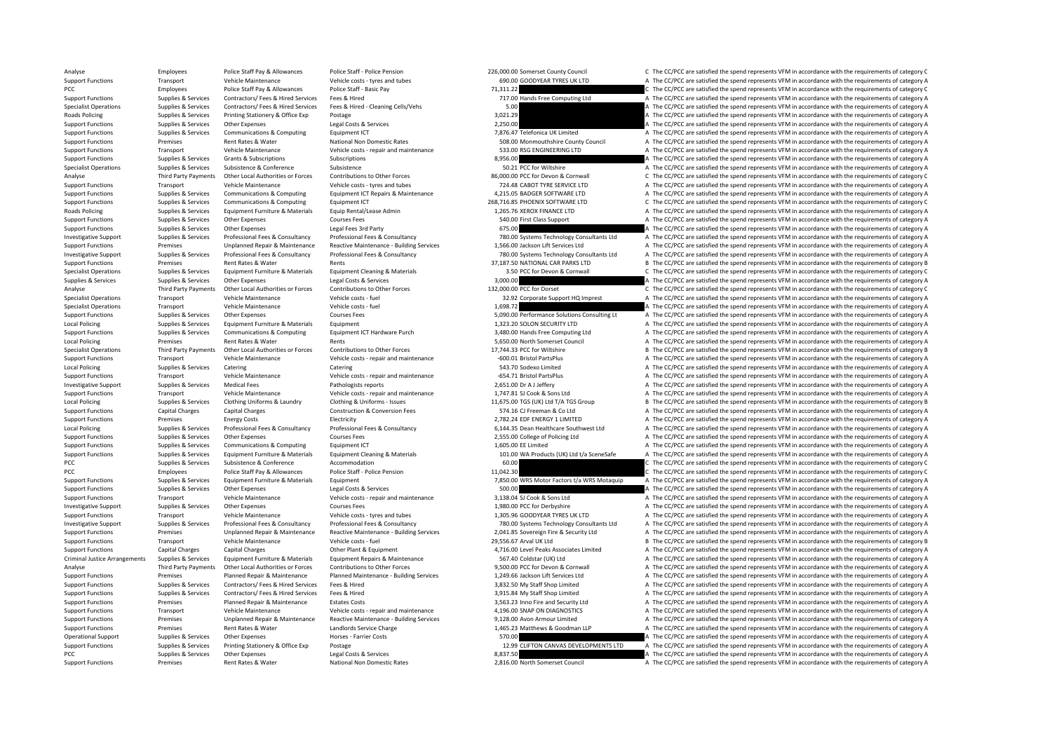Analyse Employees Police Staff Pay & Allowances Police Staff ‐ Police Pension 226,000.00 Somerset County Council C The CC/PCC are satisfied the spend represents VFM in accordance with the requirements of category C

Support Functions Transport Vehicle Maintenance Vehicle costs – tyres and tubes 690.00 GOODYEAR TYRES UK LTD A The CC/PCC are satisfied the spend represents VFM in accordance with the requirements of category A PCC EMPLOYEES POLICE STAFF PAY & Allowances Police Staff - Basic Pay 71,311.22 71,311.22 C The CC/PCC are satisfied the spend represents VFM in accordance with the requirements of category C Support Functions Supplies & Services Contractors/ Fees & Hired Services Fees & Hired A The COMPUT PRESS TREE COMPUTING LATTER CONTRACTORS TREE CONTRACTORS ARE ON THE CONTRACTORS OF THE CONTRACTORS OF THE SUPPORT SUPPORT S Specialist Operations Supplies A Service Contractors A The CC/PCC are satisfied the spend represents VFM in accordance with the requirements of category A Roads Policing Supplies Services Printing Stationery & Office Exp Postage Protage 2,021.29 3,021.29 A The CC/PCC are satisfied the spend represents VFM in accordance with the requirements of category A The Criteria Service Support Functions Supplies & Services Other Expenses Legal Costs & Services Legal Costs & Services Legal Costs & Services 2,250.00 A The CC/PCC are satisfied the spend represents VFM in accordance with the requirements of Support Functions Supplies & Services Communications & Computing Foundance CT 7,876.47 Telefonica UK Limited A The CC/PCC are satisfied the spend represents VFM in accordance with the requirements of category A Support Functions Premises Rent Rates & Water National Non Domestic Rates 508.00 Monmouthshire County Council A The CC/PCC are satisfied the spend represents VFM in accordance with the requirements of category A Support Functions Transport Vehicle Maintenance Vehicle costs – repair and maintenance 533.00 RSG ENGINEERING LTD A The CC/PCC are satisfied the spend represents VFM in accordance with the requirements of category A Support Functions Supplies & Services Grants & Subscriptions Subscriptions Subscriptions Subscriptions Subscriptions Subscriptions and the content of category A The CC/PCC are satisfied the spend represents VFM in accordan Specialist Operations Supplies & Services Subsistence Subsistence Subsistence Subsistence Subsistence Subsistence Subsistence Subsistence Subsistence Subsistence Subsistence Subsistence Subsistence Subsistence Subsistence Third Party Payments Other Local Authorities or Forces Contributions to Other Forces 36,000.00 PCC for Devon & Communal C The CC/PCC are satisfied the spend represents VFM in accordance with the requirements of category C Support Functions Transport Vehicle Maintenance Vehicle costs – tyres and tubes 724.48 CABOT TYRE SERVICE LTD A The CC/PCC are satisfied the spend represents VFM in accordance with the requirements of category A The COMENT Support Functions Supplies & Services Communications & Computing Equipment ICT Repairs & Maintenance 4,215.05 BADGER SOFTWARE LTD A The CC/PCC are satisfied the spend represents VFM in accordance with the requirements of c Support Functions Supplies & Services Communications & Computing Equipment ICT 268,716.85 PHOENIX SOFTWARE LTD C The CC/PCC are satisfied the spend represents VFM in accordance with the requirements of category C Roads Policing Supplies & Services Equipment Furniture & Materials Equip Rental/Lease Admin 1,265.76 XEROX FINANCE LTD A The CC/PCC are satisfied the spend represents VFM in accordance with the requirements of category A Support Functions Supplies & Services Other Expenses Courses Fees Samples and Courses Fees 540.00 First Class Support A The CC/PCC are satisfied the spend represents VFM in accordance with the requirements of category A Support Functions Supplies & Services Other Expenses Legal Fees 3rd Party **675.00** 675.00 A The CC/PCC are satisfied the spend represents VFM in accordance with the requirements of category A Investigative Support Supplies & Services Professional Fees & Consultancy Professional Fees & Consultancy Professional Fees & Consultancy Professional Fees & Consultancy Professional Fees & Consultancy Professional Fees & A The CC/PCC are satisfied the spend represents VEM in accordance with the requirements of category A Investigative Support Supplies & Services Professional Fees & Consultancy Professional Fees & Consultancy Professional Fees & Consultancy Professional Fees & Consultancy Professional Fees & Consultancy Professional Fees & Support Functions Premises Rent Rates & Water Rents Rents Rents Rent Rents Rent Rents And Details are a satisfied the spend represents of the requirements of category B The CC/PCC are satisfied the spend represents VFM in Supplies & Services and Equipment Furniture & Materials Equipment Cleaning & Materials and the service of the CC on the COPCC are satisfied the spend represents VFM in accordance with the requirements of category C<br>The COP Supplies & Services Supplies & Services Other Expenses Legal Costs & Services 3,000.00 A The CC/PCC are satisfied the spend represents VFM in accordance with the requirements of category A Analyse Third Party Payments Other Local Authorities or Forces Contributions to Other Forces 132,000.00 PCC for Dorset C The CC/PCC are satisfied the spend represents VFM in accordance with the requirements of category C Specialist Operations Transport Vehicle Maintenance Vehicle costs ‐ fuel Vehicle costs ‐ fuel 32.92 Corporate Support HQ Imprest A The CC/PCC are satisfied the spend represents VFM in accordance with the requirements of ca Specialist Operations Transport Vehicle Maintenance Vehicle costs – fuel Vehicle costs – fuel Vehicle costs – fuel 1,698.72 A The CC/PCC are satisfied the spend represents VFM in accordance with the requirements of categor Support Functions Supplies & Services Other Expenses Courses Fees 5,090.00 Performance Solutions Consulting Lt A The CC/PCC are satisfied the spend represents VFM in accordance with the requirements of category A Local Policing Supplies & Services Equipment Eurniture & Materials Equipment Equipment 1,323.20 SOLON SECURITY LTD A The CC/PCC are satisfied the spend represents VFM in accordance with the requirements of category A Supplies & Services Communications & Computing Equipment ICT Hardware Purch 3.480.00 Hands Free Computing Ltd A The CC/PCC are satisfied the spend represents VFM in accordance with the requirements of category A Local Policing Premises Premises Rent Rates & Water Rents Rents Rents Rents Rents Rents Rents Rents Rents Rents Rents Rents S,550.00 North Somerset Council A The CC/PCC are satisfied the spend represents VFM in accordance B The CC/PCC are satisfied the spend represents VFM in accordance with the requirements of category B Support Functions Transport Vehicle Maintenance Vehicle costs - repair and maintenance – 600.01 Bristol PartsPlus A The CC/PCC are satisfied the spend represents VFM in accordance with the requirements of category A The Cr Local Policing Supplies & Services Catering Catering Catering Catering Catering Catering Catering Catering Catering Catering Catering Supplies and Category A The CC/PCC are satisfied the spend represents VFM in accordance Support Functions Transport Vehicle Maintenance Vehicle costs - repair and maintenance G54.71 Bristol PartsPlus A The CC/PCC are satisfied the spend represents VFM in accordance with the requirements of category A Investigative Support Support Support Support Medical Fees Pathologists reports Pathologists reports 2,651.00 Dr AJ Jeffery A The CC/PCC are satisfied the spend represents VFM in accordance with the requirements of categor Support Functions Transport Vehicle Maintenance Vehicle costs – repair and maintenance Vehicle costs – repair and maintenance 1,747.81 SJ Cook & Sons Ltd A The CC/PCC are satisfied the spend represents VFM in accordance wi Company of the Chercate Company of the Chercate Chercate Chercate Chercate Chercate Chercate Chercate Chercate Chercate Chercate Sunning & Sunning & Services Chercate Chercate Chercate Chercate Chercate Chercate Chercate C Support Functions Capital Charges Capital Charges Capital Charges Capital Charges Construction & Conversion Fees 574.16 CJ Freeman & Co Ltd A The CC/PCC are satisfied the spend represents VFM in accordance with the require Support Functions Premises Premises Premises Energy Costs Energy Costs Electricity Electricity Electricity Electricity Electricity and the Support Energy 2,782.24 EDF ENERGY 1 LIMITED A The CC/PCC are satisfied the spend r A The CC/PCC are satisfied the spend represents VFM in accordance with the requirements of category A Support Functions Supplies & Services Other Expenses Courses Fees 2,555.00 College of Policing Ltd A The CC/PCC are satisfied the spend represents VFM in accordance with the requirements of category A Support Functions Supplies & Services Communications & Computing Equipment ICT 1,605.00 EE Limited A The CC/PCC are satisfied the spend represents VFM in accordance with the requirements of category A Supplies Supplies & Services Equipment Furniture & Materials Equipment Cleaning & Materials Materials and the content of the CC/PCC are satisfied the spend represents VFM in accordance with the requirements of category A c PCC Supplies & Services Subsistence Subsistence Accommodation Accommodation C The CC/PCC are satisfied the spend represents VFM in accordance with the requirements of category C PCC EMPLOYEES POLICE STAFF PAY & Allowances Police Staff - Police Pension 2016 2016 2017 202.30 C The CC/PCC are satisfied the spend represents VFM in accordance with the requirements of category C Supplies Supplies & Services Equipment Furniture & Materials Equipment Equipment and Contex Supplies and Contex Contex Contex Contex Contex Contex Contex Contex Contex Contex Contex Contex Contex Contex Contex Contex Conte Support Functions Supplies & Services Other Expenses Legal Costs & Services Legal Costs A The CODO Support Functions and represents VFM in accordance with the requirements of category A The Support Functions Transport Vehi Support Functions Transport Vehicle Maintenance Vehicle costs ‐ repair and maintenance 3,138.04 SJ Cook & Sons Ltd A The CC/PCC are satisfied the spend represents VFM in accordance with the requirements of category A Investigative Support Supplies & Services Other Expenses Courses Fees Courses Fees 1,980.00 PCC for Derbyshire A The CC/PCC are satisfied the spend represents VFM in accordance with the requirements of category A Support Functions Transport Vehicle Maintenance Vehicle costs – tyres and tubes 1,305.96 GOODYEAR TYRES UK LTD A The CC/PCC are satisfied the spend represents VFM in accordance with the requirements of category A The costs Investigative Support Supplies & Services Professional Fees & Consultancy Professional Fees & Consultancy Professional Fees & Consultancy Professional Fees & Consultancy Professional Fees & Consultancy Professional Fees & Support Functions Premises Unplanned Repair & Maintenance Reactive Maintenance - Building Services 2,041.85 Sovereign Fire & Security Ltd A The CC/PCC are satisfied the spend represents VFM in accordance with the requireme Support Functions Transport Vehicle Maintenance Vehicle costs –fuel Vehicle costs –fuel 29,556.67 Arval UK Ltd B The CC/PCC are satisfied the spend represents VFM in accordance with the requirements of category B The CC/PC Support Functions Capital Charges Capital Charges Capital Charges Other Plant & Equipment Other Plant & Equipment 4,716.00 Level Peaks Associates Limited A The CC/PCC are satisfied the spend represents VFM in accordance wi Criminal Justice Arrangements Sunnias & Services Faujument Furniture & Materials Faujument Renairs & Maintenance Sunnimate Renairs & Material Sunning Capital Colder (IIK) Itd a The CC/PCC are satisfied the spend represents Third Party Payments Other Local Authorities or Forces Contributions to Other Forces Senter Senter Senter Senter Senter Senter Senter Senter Senter Senter Depopments of category A The CC/PCC are satisfied the spend represe Premises Planned Repair & Maintenance Planned Maintenance Planned Maintenance - Building Services 1,249.66 Jackson Lift Services Ltd A The CC/PCC are satisfied the spend represents VFM in accordance with the requirements o Support Functions Supplies & Services Contractors/ Fees & Hired Fees & Hired Services Fees & Hired Services Services Fees & Hired 3,832.50 My Staff Shop Limited A The CC/PCC are satisfied the spend represents VFM in accord Support Functions Supplies & Services Contractors/ Fees & Hired Services Fees & Hired 3,915.84 My Staff Shop Limited A The CC/PCC are satisfied the spend represents VFM in accordance with the requirements of category A Support Functions Premises Planned Repair & Maintenance Estates Costs 3,563.23 Inno Fire and Security Ltd A The CC/PCC are satisfied the spend represents VFM in accordance with the requirements of category A Support Functions Transport Vehicle Maintenance Vehicle costs – repair and maintenance 4,196.00 SNAP ON DIAGNOSTICS A The CC/PCC are satisfied the spend represents VFM in accordance with the requirements of category A The Support Functions Premises Unplanned Renair & Maintenance Reactive Maintenance - Building Services 9.128.00 Avon Armour Limited A The CC/PCC are satisfied the spend represents VEM in accordance with the requirements of cat Support Functions Premises Premises Rent Rates & Water Landlords Service Charge Landlords Service Charge 1,465.23 Matthews & Goodman LLP A The CC/PCC are satisfied the spend represents VFM in accordance with the requiremen  $\overline{S}$  STO.00  $\overline{S}$  A The CC/PCC are satisfied the spend represents VFM in accordance with the requirements of category A The CC/PCC are satisfied the spend represents VFM in accordance with the requirements of categ Support Functions Supplies & Services Printing Stationery & Office Exp Postage 12.99 CLIFTON CANVAS DEVELOPMENTS LTD A The CC/PCC are satisfied the spend represents VFM in accordance with the requirements of category A PCC Supplies & Services Other Expenses Legal Costs & Services 8,897.50 A The CC/PCC are satisfied the spend represents VFM in accordance with the requirements of category A Support Functions Premises Rent Rates & Water National Non Domestic Rates 2,816.00 North Somerset Council A The CC/PCC are satisfied the spend represents VFM in accordance with the requirements of category A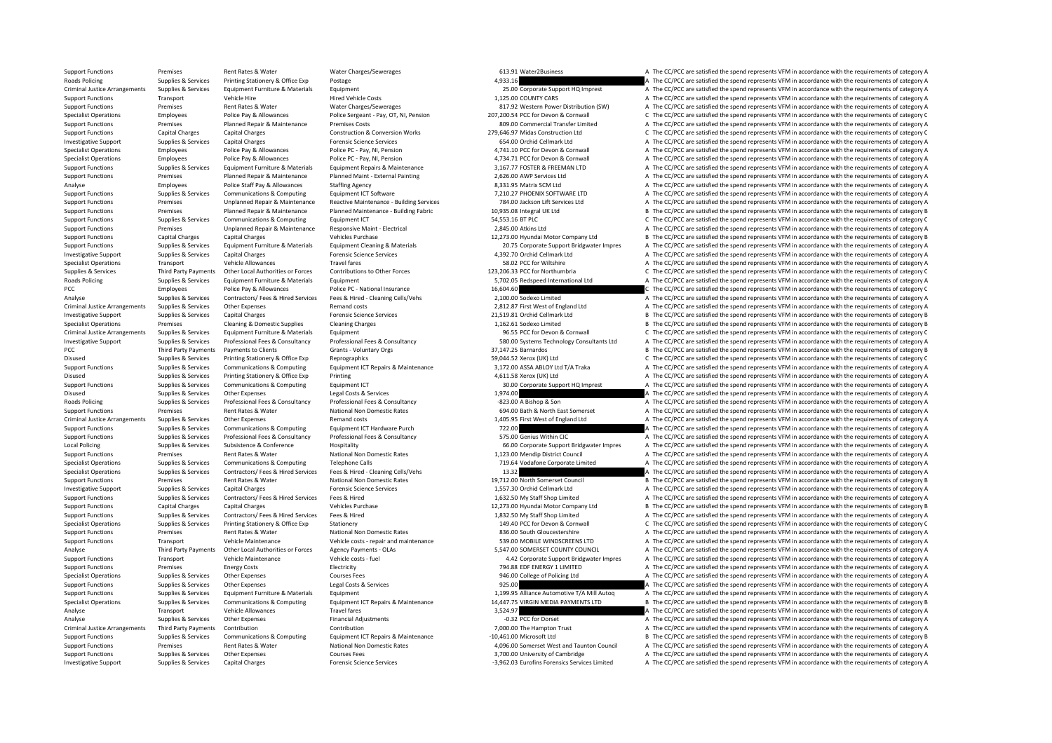Support Functions Premises Rent Rates & Water Water Charges/Sewerages a manuform of the Charges and the CC/PCC are satisfied the spend represents VFM in accordance with the requirements of category A Rads Policine School S Roads Policing Supplies & Services Printing Stationery & Office Exp Postage exp and the spend of the spend represents VFM in accordance with the requirements of category A Criminal Justice Arrangements Supplies & Services Equipment Europe Europe Equipment Europe Equipment Europe Materials Equipment Europe (States and Arrangement of category A The CC/PCC are satisfied the spend represents VFM Support Functions Transport Vehicle Hire Hire Hired Vehicle Costs Hired Vehicle Costs 1,125.00 COUNTY CARS A The CC/PCC are satisfied the spend represents VFM in accordance with the requirements of category A The CONTY CAR Premises Rent Rates & Water Water Charges/Sewerages 817.92 Western Power Distribution (SW) A The CC/PCC are satisfied the spend represents VFM in accordance with the requirements of category A Specialist Operations Employees Police Pay & Allowances Police Sergeant - Pay, OT, NI, Pension 207,200.54 PCC for Devon & Community Control Control Control Control Control Control Control Control Control Control Control Co Support Functions Premises Planned Repair & Maintenance Premises Costs 809.00 Commercial Transfer Limited A The CC/PCC are satisfied the spend represents VFM in accordance with the requirements of category A Construction & Support Functions Capital Charges Capital Charges Construction & Conversion Works 279,646.97 Midas Construction Ltd C The CC/PCC are satisfied the spend represents VFM in accordance with the requirements of category C Investigative Support Support Support Support Capital Charges Capital Charges Forensic Science Services 654.00 Orchid Cellmark Ltd A The CC/PCC are satisfied the spend represents VFM in accordance with the requirements of Specialist Operations Employees Police Pay & Allowances Police PC ‐ Pay, NI, Pension 4,741.10 PCC for Devon & Cornwall A The CC/PCC are satisfied the spend represents VFM in accordance with the requirements of category A T Specialist Operations Employees Police Pay & Allowances Police PC ‐ Pay, NI, Pension 4,734.71 PCC for Devon & Cornwall A The CC/PCC are satisfied the spend represents VFM in accordance with the requirements of category A T Sunnort Eungriposity Cumplies & Services Equipment Europhysics Equipment Renairs & Maintenance 316777 EQSTER & EREEMAN LTD 4 The CC/PCC are satisfied the spend represents VEM in accordance with the requirements of category Support Functions Premises Planned Repair & Maintenance Planned Maint - External Painting 2,626.00 AWP Services Ltd A The CC/PCC are satisfied the spend represents VFM in accordance with the requirements of category A The Analyse Employees Police Staff Pay & Allowances Staffing Agency States CM Ltd A The CC/PCC are satisfied the spend represents VFM in accordance with the requirements of category A Support of the Staff Pay & Allowance Staff Support Functions Supplies & Services Communications & Computing Equipment ICT Software Equipment ICT Software 7,210.27 PHOENIX SOFTWARE LTD A The CC/PCC are satisfied the spend represents VFM in accordance with the requir Support Functions Premises Diplanned Repair & Maintenance Reactive Maintenance - Building Services 784.00 Jackson Lift Services Ltd A The CC/PCC are satisfied the spend represents VFM in accordance with the requirements of Support Functions Premises Planned Repair & Maintenance Planned Maintenance - Building Fabric 10,935.08 Integral UK Ltd B The CC/PCC are satisfied the spend represents VFM in accordance with the requirements of category B Support Functions Supplies & Services Communications & Computing Equipment ICT 54,553.16 BT PLC 54,553.16 BT PLC C The CC/PCC are satisfied the spend represents VFM in accordance with the requirements of category C Innlann Support Functions Premises Unplanned Repair & Maintenance Responsive Maint - Electrical 2,845.00 Atkins Ltd A The CC/PCC are satisfied the spend represents VFM in accordance with the requirements of category A Support Functions Capital Charges Capital Charges Capital Charges Capital Charges Vehicles Purchase 12,273.00 Hyundai Motor Company Ltd B The CC/PCC are satisfied the spend represents VFM in accordance with the requirement A The CC/PCC are satisfied the spend represents VFM in accordance with the requirements of category A Investigative Support Supplies & Services Capital Charges Forensic Science Services A 392.70 Orchid Cellmark Ltd A The CC/PCC are satisfied the spend represents VFM in accordance with the requirements of category A Specialist Operations Transport Vehicle Allowances Travel fares Travel fares Travel fares Travel fares Travel fares and The CC/PCC for Wiltshire A The CC/PCC are satisfied the spend represents VFM in accordance with the re Supplies & Services Third Party Payments Other Local Authorities or Forces Contributions to Other Forces 123,206.33 PCC for Northumbria C The CC/PCC are satisfied the spend represents VFM in accordance with the requirement A The CC/PCC are satisfied the spend represents VFM in accordance with the requirements of category A PCC Employees Police Pay & Allowances Police PC National Insurance 16,604.60 C The CC/PC are satisfied the spend represents VFM in accordance with the requirements of category C Analyse Supplies & Services Contractors/ Fees & Hired Services Fees & Hired - Cleaning Cells/Vehs 2,100.00 Sodexo Limited A The CC/PCC are satisfied the spend represents VFM in accordance with the requirements of category Criminal Justice Arrangements Supplies & Services Other Expenses Anterapposes Remand costs 2,812.87 First West of England Ltd A The CC/PCC are satisfied the spend represents VFM in accordance with the requirements of categ B The CC/PCC are satisfied the spend represents VFM in accordance with the requirements of category B Specialist Operations Premises Cleaning & Domestic Supplies Cleaning Charges Cleaning Charges 1,162.61 Sodexo Limited B The CC/PCC are satisfied the spend represents VFM in accordance with the requirements of category B Criminal Justice Arrangements Supplies & Services Equipment Furniture & Materials Equipment Equipment 96.55 PCC for Devon & Cornwall C The CC/PCC are satisfied the spend represents VFM in accordance with the requirements o Investigative Support Supplies & Services Professional Fees & Consultancy Professional Fees & Consultancy Professional Fees & Consultancy Professional Fees & Consultancy Consultancy Support Support of A The CC/PCC are sati B The CC/PCC are satisfied the spend represents VFM in accordance with the requirements of category B Disused Supplies Services Printing Stationery & Office Exp Reprographics Reprographics Reprographics Reprographics 59,044.52 Xerox (UK) Ltd C The CC/PCC are satisfied the spend represents VFM in accordance with the require Supplies & Services Communications & Computing Foulthment ICT Repairs & Maintenance 3.172.00 ASSA ABIOY I to The TATraka A The CC/PCC are satisfied the spend represents VFM in accordance with the requirements of category A Disused Supplies & Services Printing Stationery & Office Exp Printing 4,611.58 Xerox (UK) Ltd A The CC/PCC are satisfied the spend represents VFM in accordance with the requirements of category A Support Functions Supplies & Services Communications & Computing Equipment ICT 30.00 Corporate Support HQ Imprest A The CC/PCC are satisfied the spend represents VFM in accordance with the requirements of category A Disused Supplies Services Other Expenses Legal Costs & Services Legal Costs & Services Legal Costs & Services Legal Costs & Services 1,974.00 A The CC/PCC are satisfied the spend represents VFM in accordance with the requi A. The CC/PCC are satisfied the spend represents VFM in accordance with the requirements of category A Support Functions Premises Premises Rent Rates Rent Rates National Non Domestic Rates National Non Domestic Rates 694.00 Bath & North East Somerset A The CC/PCC are satisfied the spend represents VFM in accordance with the Criminal Justice Arrangements Supplies & Services Other Expenses Remand costs Remand costs Remand costs 1,405.95 First West of England Ltd A The CC/PCC are satisfied the spend represents VFM in accordance with the requirem Support Functions Functions Computer Computer Communications Communications Computing A The CC/PCC are satisfied the spend represents VFM in accordance with the requirements of category A The CripCC are satisfied the spend on the contribution of the contribution of the contribution of the contribution of the contribution of the contribution of the contribution of the control of the control of the control of the control of the control of the Local Policing Supplies & Services Subsistence Subsistence Hospitality Hospitality 66.00 Corporate Support Bridgwater Impres A The CC/PCC are satisfied the spend represents VFM in accordance with the requirements of catego Support Functions Premises Rent Rates & Water National Non Domestic Rates 1,123.00 Mendip District Council A The CC/PCC are satisfied the spend represents VFM in accordance with the requirements of category A The CC/PCC ar Specialist Operations Supplies & Services Communications & Computing Telephone Calls 719.64 Vodafone Corporate Limited A The CC/PCC are satisfied the spend represents VFM in accordance with the requirements of category A Specialist Operations Supplies & Services Contractors/ Fees & Hired Services Fees & Hired - Cleaning Cells/Vehs 13.32 A The CC/PCC are satisfied the spend represents VFM in accordance with the requirements of category A Support Functions Premises Rent Rates & Water National Non Domestic Rates 19,712.00 North Somerset Council B The CC/PCC are satisfied the spend represents VFM in accordance with the requirements of category B In accordance Investigative Support Supplies & Services Capital Charges Capital Charges Forensic Science Services 1,557.30 Orchid Cellmark Ltd A The CC/PCC are satisfied the spend represents VFM in accordance with the requirements of ca Support Functions Supplies & Services Contractors/ Fees & Hired Services Fees & Hired 1,632.50 My Staff Shop Limited A The CC/PCC are satisfied the spend represents VFM in accordance with the requirements of category A Support Functions Capital Charges Capital Charges Vehicles Purchase Vehicles Purchase 12,273.00 Hyundai Motor Company Ltd B The CC/PCC are satisfied the spend represents VFM in accordance with the requirements of category Support Functions Supplies & Services Contractors/ Fees & Hired Services Fees & Hired Services Fees & Hired 1,832.50 My Staff Shop Limited A The CC/PCC are satisfied the spend represents VFM in accordance with the requirem Supplies & Services Printing Stationery & Office Exp Stationery Stationery 149.40 PCC for Devon & Cornwall C The CC/PCC are satisfied the spend represents VFM in accordance with the requirements of category C Support Functions Premises Rent Rates & Water National Non Domestic Rates 836.00 South Gloucestershire A The CC/PCC are satisfied the spend represents VFM in accordance with the requirements of category A Support Functions Transport Vehicle Maintenance Vehicle costs – repair and maintenance Sample and the Sample WINDSCREENS LTD A The CC/PCC are satisfied the spend represents VFM in accordance with the requirements of catego Analyse Third Party Payments Other Local Authorities or Forces Agency Payments – OLAs 5,547.00 SOMERSET COUNTY COUNCIL A The CC/PCC are satisfied the spend represents VFM in accordance with the requirements of category A T Support Vehicle Maintenance Vehicle costs fuel Vehicle costs fuel 4.42 Corporate Support Bridgwater Impres A The CC/PCC are satisfied the spend represents VFM in accordance with the requirements of category A The CC/PCC ar Support Functions Premises Premises Premises Energy Costs and Electricity Electricity Functions Electricity and Electricity and Electricity 794.88 EDF ENERGY 1 LIMITED A The CC/PCC are satisfied the spend represents VFM in Specialist Operations Supplies & Services Other Expenses Courses Fees Courses Fees 346.00 College of Policing Ltd A The CC/PCC are satisfied the spend represents VFM in accordance with the requirements of category A Support Functions Supplies & Services Other Expenses Legal Costs & Services 925.00 A The CC/PCC are satisfied the spend represents VFM in accordance with the requirements of category A Support Functions Supplies & Services Equipment Furniture & Materials Equipment Europe Equipment and the support of the CC/PCC are satisfied the spend represents VFM in accordance with the requirements of category A Supplies & Services Communications & Computing Equipment ICT Repairs & Maintenance 14,447.75 VIRGIN MEDIA PAYMENTS LTD B The CC/PCC are satisfied the spend represents VFM in accordance with the requirements of category B a Analyse Transport Vehicle Allowances Travel fares Travel fares and the Section of the CC/PCC are satisfied the spend represents VFM in accordance with the requirements of category A The Allowances and the represents VFM in Analyse Supplies A Services Other Expenses Financial Adjustments – and December 2022 PCC for Dorset A The CC/PCC are satisfied the spend represents VFM in accordance with the requirements of category A Criminal Justice Arrangements Third Party Payments Contribution Contribution Contribution Contribution Contribution Contribution Contribution A The CODO The Hampton Trust A The CC/PCC are satisfied the spend represents VFM B The CC/PCC are satisfied the spend represents VFM in accordance with the requirements of category B Support Functions Premises Rent Rates & Water National Non Domestic Rates 4,096.00 Somerset West and Taunton Council A The CC/PCC are satisfied the spend represents VFM in accordance with the requirements of category A Support Functions Supplies & Services Other Expenses Courses Fees Courses Fees 3,700.00 University of Cambridge A The CC/PCC are satisfied the spend represents VFM in accordance with the requirements of category A Investigative Support Supplies & Services Capital Charges Forensic Science Services Forensic Science Services Forensic Science Services -3,962.03 Eurofins Forensics Services Limited A The CC/PCC are satisfied the spend rep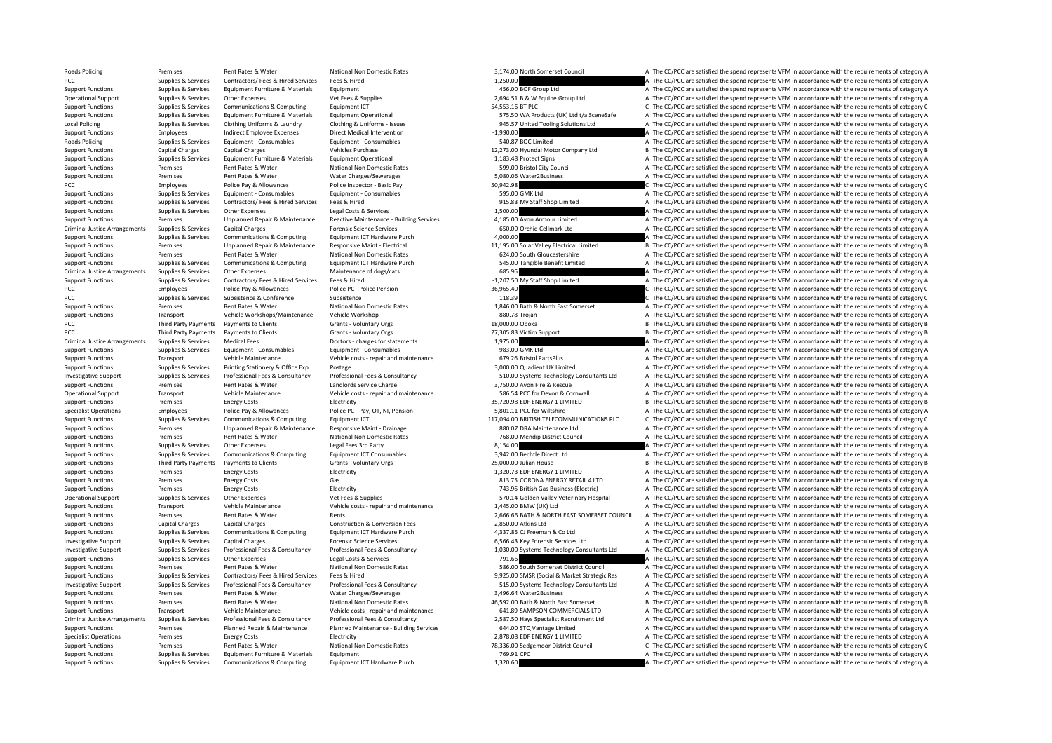Roads Policing Premises Rent Rates & Water National Non Domestic Rates and a The CC/PCC are satisfied the spend represents VFM in accordance with the requirements of category A The CC/PCC are satisfied the spend represents PCC Supplies & Services Contractors/ Fees & Hired Services Fees & Hired Services Fees & Hired Services Fees & Hired 1,250.00 A The CC/PCC are satisfied the spend represents VFM in accordance with the requirements of catego Support Functions Supplies & Services Equipment Eurniture & Materials Equipment 456.00 BOF Group Ltd A The CC/PCC are satisfied the spend represents VFM in accordance with the requirements of category A Operational Support Supplies & Services Other Expenses Vet Fees & Supplies Vet Fees & Supplies 2,694.51 B & W Equine Group Ltd A The CC/PCC are satisfied the spend represents VFM in accordance with the requirements of cate C The CC/PCC are satisfied the spend represents VFM in accordance with the requirements of category C Support Functions Supplies & Services Equipment Furniture & Materials Equipment Operational Equipment Operational<br>1999 Local Policing A The CC/PCC are satisfied the spend represents VFM in accordance with the requirements Local Policing Supplies Services Clothing Uniforms & Laundry Clothing & Uniforms - Issues and the seats of the CONCOST Dubited Tooling Solutions Ltd A The CC/PCC are satisfied the spend represents VFM in accordance with th Support Functions Employees Indirect Employee Expenses Direct Medical Intervention – 1,990.00 A The CC/PCC are satisfied the spend represents VFM in accordance with the requirements of category A Roads Policing Supplies Supplies & Services Equipment - Consumables Equipment - Consumables Equipment - Consumables Equipment - Consumables Equipment - Consumables and the CC/PCC are satisfied the spend represents VFM in a Support Functions Capital Charges Capital Charges Vehicles Purchase Vehicles Purchase 12,273.00 Hyundai Motor Company Ltd B The CC/PCC are satisfied the spend represents VFM in accordance with the requirements of category Support Functions Supplies & Services Equipment Furniture & Materials Equipment Operational Equipment Operational 1,183.48 Protect Signs A The CC/PCC are satisfied the spend represents VFM in accordance with the requiremen Support Functions Premises Rent Rates & Water National Non Domestic Rates 599.00 Bristol City Council A The CC/PCC are satisfied the spend represents VFM in accordance with the requirements of category A Support Functions Premises Rent Rates & Water Water Charges/Sewerages S.080.06 Water2Business A The CC/PCC are satisfied the spend represents VFM in accordance with the requirements of category A The Cryptocare satisfied t PCC Employees Police Pay & Allowances Police Inspector - Basic Pay 50,942.98 C The CC/PCC are satisfied the spend represents VFM in accordance with the requirements of category C Support Functions Supplies & Services Equipment - Consumables Equipment - Consumables Equipment - Consumables 595.00 GMK Ltd A The CC/PCC are satisfied the spend represents VFM in accordance with the requirements of catego Support Functions Supplies & Services Contractors/ Fees & Hired Services Fees & Hired 1999 Fees & Hired 915.83 My Staff Shop Limited A The CC/PCC are satisfied the spend represents VFM in accordance with the requirements o Support Functions Supplies & Services Other Expenses Legal Costs & Services Legal Costs & Services Legal Costs & Services 1,500.00 A The CC/PCC are satisfied the spend represents VFM in accordance with the requirements of Support Functions Premises Premises Unplanned Repair & Maintenance Reactive Maintenance - Building Services 4,185.00 Avon Armour Limited A The CC/PCC are satisfied the spend represents VFM in accordance with the requiremen Criminal Justice Arrangements Supplies & Services Capital Charges Forensic Science Services 650.00 Orchid Cellmark Ltd A The CC/PCC are satisfied the spend represents VFM in accordance with the requirements of category A Support Functions Supplies & Services Communications & Computing Equipment ICT Hardware Purch 4,000.00 4,000.00 A The CC/PCC are satisfied the spend represents VFM in accordance with the requirements of category A The COMP B. The CC/PCC are satisfied the spend represents VEM in accordance with the requirements of category B. Support Functions Premises Rent Rates & Water National Non Domestic Rates 624.00 South Gloucestershire A The CC/PCC are satisfied the spend represents VFM in accordance with the requirements of category A Support Functions Support Support Support Communications & Computing Equipment ICT Hardware Purch 545,00 Tangible Benefit Limited A The CC/PCC are satisfied the spend represents VFM in accordance with the requirements of c Criminal Justice Arrangements Supplies & Services Other Expenses Maintenance of dogs/cats Maintenance of dogs/cats 685.96 A The CC/PCC are satisfied the spend represents VFM in accordance with the requirements of category Support Functions Supplies & Services Contractors/ Fees & Hired Services Fees & Hired ‐1,207.50 My Staff Shop Limited A The CC/PCC are satisfied the spend represents VFM in accordance with the requirements of category A PCC Employees Police Pay & Allowances Police PC - Police Pension 36,965.40 26,965.40 C The CC/PC are satisfied the spend represents VFM in accordance with the requirements of category C PCC Supplies & Services Subsistence & Conference Subsistence 118.39 C The CC/PCC are satisfied the spend represents VFM in accordance with the requirements of category C Support Functions Premises Rent Rates & Water National Non Domestic Rates 1,846.00 Bath & North East Somerset A The CC/PCC are satisfied the spend represents VFM in accordance with the requirements of category A The Suppor Support Functions Transport Vehicle Workshops/Maintenance Vehicle Workshop 880.78 Trojan A The CC/PCC are satisfied the spend represents VFM in accordance with the requirements of category A PCC Third Party Payments Payments to Clients Grants - Voluntary Orgs 18,000.00 Opoka B The CC/PCC are satisfied the spend represents VFM in accordance with the requirements of category B PCC Third Party Payments Payments to Clients Category B Grants - Voluntary Orgs 27,305.83 Victim Support B The CC/PCC are satisfied the spend represents VFM in accordance with the requirements of category B Criminal Justice Arrangements Supplies & Services Medical Fees Doctors – charges for statements Doctors – charges for statements 1,975.00 A The CC/PCC are satisfied the spend represents VFM in accordance with the requireme A The CC/PCC are satisfied the spend represents VFM in accordance with the requirements of category A Support Functions Transport Vehicle Maintenance Vehicle costs - repair and maintenance 679.26 Bristol PartsPlus A The CC/PCC are satisfied the spend represents VFM in accordance with the requirements of category A The Crit Support Functions Support Printing Stationery & Office Exp Postage 2, 2000 and a Support UK Limited A The CC/PCC are satisfied the spend represents VFM in accordance with the requirements of category A Investigative Support Supplies & Services Professional Fees & Consultancy Professional Fees & Consultancy Professional Fees & Consultancy Professional Fees & Consultancy Professional Fees & Consultancy Support Support and Support Functions Premises Rent Rates & Water Landlords Service Charge 3,750.00 Avon Fire & Rescue A The CC/PCC are satisfied the spend represents VFM in accordance with the requirements of category A Operational Support Transport Vehicle Maintenance Vehicle costs - repair and maintenance 586.54 PCC for Devon & Cornwall A The CC/PCC are satisfied the spend represents VFM in accordance with the requirements of category A Support Functions Premises Energy Costs Functions Electricity (Support The CC/PCC are satisfied the spend represents VFM in accordance with the requirements of category B Specialist Operations Employees Police Pay & Allowances Police PC ‐ Pay, OT, NI, Pension Police PC - Pay, OT, NI, Pension 5,801.11 PCC for Willshire A The CC/PCC are satisfied the spend represents VFM in accordance with th Support Functions Supplies & Services Communications & Computing Equipment ICT Equipment ICT 117,094.00 BRITISH TELECOMMUNICATIONS PLC C The CC/PCC are satisfied the spend represents VFM in accordance with the requirements Support Functions Premises Unplanned Repair & Maintenance Responsive Maint - Drainage 880.07 DRA Maintenance Ltd A The CC/PCC are satisfied the spend represents VFM in accordance with the requirements of category A The Cri Support Functions Premises Rent Rates & Water National Non Domestic Rates 768.00 Mendip District Council A The CC/PCC are satisfied the spend represents VFM in accordance with the requirements of category A Support Functions Supplies & Services Other Expenses Legal Fees 3rd Party Legal Fees 3rd Party 8,154.00 A The CC/PCC are satisfied the spend represents VFM in accordance with the requirements of category A Support Functions Supplies & Services Communications & Computing Equipment ICT Consumables 3,942.00 Bechtle Direct Ltd A The CC/PCC are satisfied the spend represents VFM in accordance with the requirements of category A G Third Party Payments Payments to Clients Clients Collections Crants - Voluntary Orgs 25,000.00 Julian House 25,000.00 Julian House B The CC/PCC are satisfied the spend represents VFM in accordance with the requirements of Support Functions Premises Energy Costs Electricity Electricity A The CC/PCC are satisfied the spend represents VFM in accordance with the requirements of category A Support Functions Premises Energy Costs Gas Gas Gas Support Communications and the CC/PCC are satisfied the spend represents VFM in accordance with the requirements of category A Gas 813.75 CORONA ENERGY RETAIL 4 LTD A The Support Functions Support Functions Premiers Functions Functions Premiers Electricity 713.96 British Gas Business (Electric) A The CC/PCC are satisfied the spend represents VFM in accordance with the requirements of catego Operational Support Supplies & Services Other Expenses Vet Fees & Supplies Vet Fees & Supplies 570.14 Golden Valley Veterinary Hospital A The CC/PCC are satisfied the spend represents VFM in accordance with the requirement Support Functions Transport Vehicle Maintenance Vehicle costs ‐ repair and maintenance 1,445.00 BMW (UK) Ltd A The CC/PCC are satisfied the spend represents VFM in accordance with the requirements of category A Support Functions Premises Rent Rates & Water Rents Rents Rents Rents Rents Rents Rents Rents Rents Rents Rents Rents Rents Rents Rents Rents Rents Rents Rent Rents Rents Rents Rents Rents Rents Rents Rents Rents Rents Ren Support Functions Capital Charges Capital Charges Construction & Conversion Fees 2,850.00 Atkins Ltd A The CC/PCC are satisfied the spend represents VFM in accordance with the requirements of category A Support Functions Supplies & Services Communications & Computing Equipment ICT Hardware Purch 4,337.85 CJ Freeman & Co Ltd A The CC/PCC are satisfied the spend represents VFM in accordance with the requirements of category Investigative Support Supplies & Services Capital Charges Category A The CONCOS Capital Charges Capital Charges Forensic Science Services 6,566.43 Key Forensic Services Ltd A The CC/PCC are satisfied the spend represents V Investigative Support Supplies & Services Professional Fees & Consultancy Professional Fees & Consultancy Professional Fees & Consultancy Professional Fees & Consultancy Professional Fees & Consultancy 1,030.00 Systems Tec Support Functions Supplies Services Other Expenses Legal Costs & Services 791.66 791.66 A The CC/PC are satisfied the spend represents VFM in accordance with the requirements of category A Support Functions Premises Rent Rates & Water National Non Domestic Rates 586.00 South Somerset District Council A The CC/PCC are satisfied the spend represents VFM in accordance with the requirements of category A Support Functions Supplies & Services Contractors/ Fees & Hired Services Fees & Hired Services Fees & Hired Services Fees & Hired Services Fees & Hired Services Fees & Hired Services Fees & Hired Services Fees & Hired Serv Investigative Support Support Supplies & Services Professional Fees & Consultancy Professional Fees & Consultancy Professional Fees & Consultancy Professional Fees & Consultancy Professional Fees & Consultancy Support Supp Support Functions Premises Rent Rates & Water Water Charges/Sewerages A The CC/PCC are satisfied the spend represents VFM in accordance with the requirements of category A Support Functions Premises Rent Rates & Water National Non Domestic Rates 46,592.00 Bath & North East Somerset B The CC/PCC are satisfied the spend represents VFM in accordance with the requirements of category B Vehicle M Support Functions Transport Vehicle Maintenance Vehicle costs ‐ repair and maintenance 641.89 SAMPSON COMMERCIALS LTD A The CC/PCC are satisfied the spend represents VFM in accordance with the requirements of category A Criminal lustice Arrangements Supplies & Services Professional Fees & Consultancy Professional Fees & Consultancy Professional Fees & Consultancy Professional Fees & Consultancy 2.587.50 Havs Specialist Becruitment Itd A T Support Functions Premises Planned Repair & Maintenance Planned Maintenance - Building Services 644.00 STQ Vantage Limited A The CC/PCC are satisfied the spend represents VFM in accordance with the requirements of category A The CC/PCC are satisfied the spend represents VFM in accordance with the requirements of category A Support Functions Premises Rent Rates & Water National Non Domestic Rates 78,336.00 Sedgemoor District Council C The CC/PCC are satisfied the spend represents VFM in accordance with the requirements of category C Support Functions Supplies & Services Equipment Eurniture & Materials Equipment Furniture & Materials Equipment 769.91 CPC 769.91 CPC A The CC/PCC are satisfied the spend represents VFM in accordance with the requirements Support Functions Supplies & Services Communications & Computing Equipment ICT Hardware Purch 1,320.60 A The CC/PCC are satisfied the spend represents VFM in accordance with the requirements of category A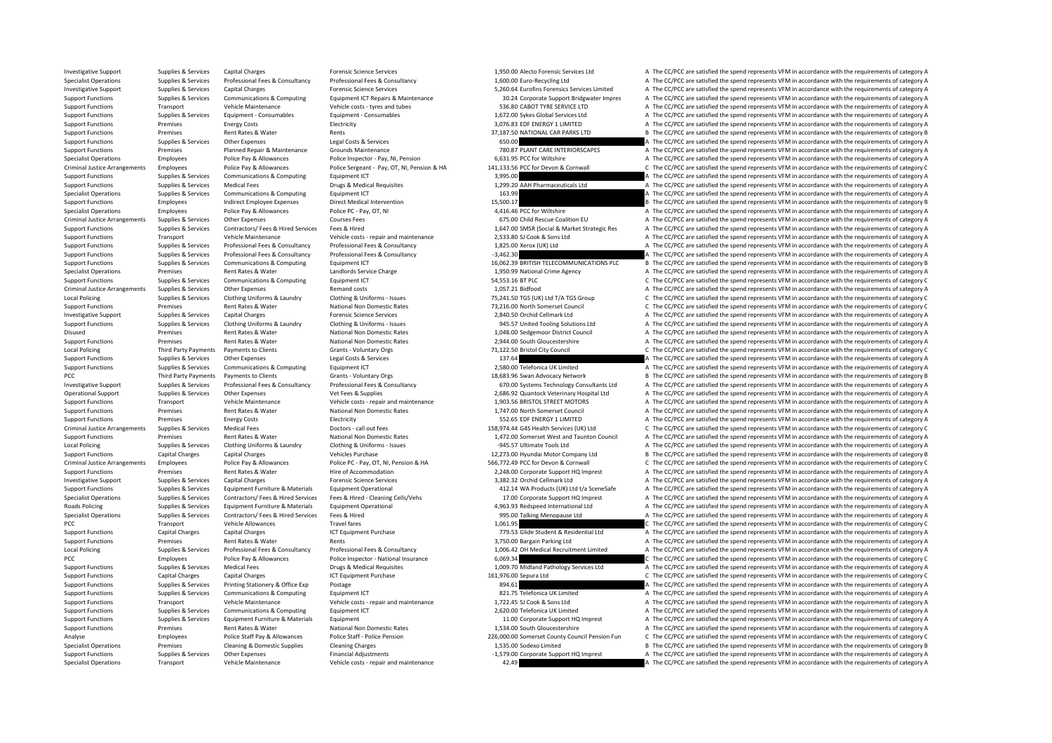Investigative Support Supplies & Services Capital Charges Forensic Science Services Forensic Science Services Ltd A The CC/PCC are satisfied the spend represents VFM in accordance with the requirements of category A

Supplies & Services Professional Fees & Consultancy Professional Fees & Consultancy Professional Fees & Consultancy Professional Fees & Consultancy Professional Fees & Consultancy Professional Fees & Consultancy 1,600.00 E Investigative Support Supplies & Services Capital Charges Forensic Science Services Forensic Science Services<br>
Support Support Support Support of Computing Science Services Computing Foundment ICT Repairs & Maintenance 30. Support Functions Supplies & Services Communications & Computing Equipment ICT Repairs & Maintenance 30.24 Corporate Support Bridgwater Impres A The CC/PCC are satisfied the spend represents VFM in accordance with the requ Transport Vehicle Maintenance Vehicle costs ‐ tyres and tubes 536.80 CABOT TYRE SERVICE LTD A The CC/PCC are satisfied the spend represents VFM in accordance with the requirements of category A

## Support Functions Supplies & Services Equipment - Consumables Equipment - Consumables Equipment - Consumables Equipment - Consumables Equipment - Consumables 1,672.00 Sykes Global Services Ltd A The CC/PCC are satisfied th Support Functions Premises Premises Energy Costs Energy Costs Electricity Electricity Electricity and the Support ENERGY 1 LIMITED A The CC/PCC are satisfied the spend represents VFM in accordance with the requirements of Support Functions Premises Rent Rates & Water Rents Rents Rents Rents Rents Rents Rents Rents Rents Rents Rent Rents Rents Rents Rents Rents Rents Rents Rents Rents Rents Rents Rents Rents Rents Rents Rents Rents Rents Ren Support Functions Supplies & Services Other Expenses Legal Costs & Services 650.00 A The CC/PCC are satisfied the spend represents VFM in accordance with the requirements of category A Support Functions Premises Planned Repair & Maintenance Grounds Maintenance Grounds Maintenance 780.87 PLANT CARE INTERIORSCAPES A The CC/PCC are satisfied the spend represents VFM in accordance with the requirements of ca Specialist Operations Employees Police Pay & Allowances Police Inspector - Pay, NI, Pension 6,631.95 PCC for Wiltshire A The CC/PCC are satisfied the spend represents VFM in accordance with the requirements of category A D Criminal Justice Arrangements Employees Police Pay & Allowances Police Sergeant - Pay, OT, NI, Pension & HA 141,133.56 PCC for Devon & Cornwall CTHE CC/PCC are satisfied the spend represents VFM in accordance with the requ Support Functions Supplies & Services Communications & Computing Equipment ICT Equipment ICT 3,995.00 A The CC/PCC are satisfied the spend represents VFM in accordance with the requirements of category A The Support Functi Support Functions Supplies & Services Medical Fees Drugs & Medical Requisites Drugs A The CC/PCC are satisfied the spend represents VFM in accordance with the requirements of category A Specialist Operations Supplies & Services Communications & Computing Equipment ICT 163.99 163.99 A The CC/PCC are satisfied the spend represents VFM in accordance with the requirements of category A Support Functions Employees Indirect Employee Expenses Direct Medical Intervention 15,500.17 10 15,500.17 B The CC/PCC are satisfied the spend represents VFM in accordance with the requirements of category B Specialist Operations Employees Police Pay & Allowances Police PC ‐ Pay, OT, NI 4,416,46 PCC for Wiltshire A The CC/PCC are satisfied the spend represents VFM in accordance with the requirements of category A Criminal Justice Arrangements Supplies & Services Other Expenses Courses Fees 675.00 Child Rescue Coalition EU A The CC/PCC are satisfied the spend represents VFM in accordance with the requirements of category A The Crimi Support Functions Supporters Services Contractors/ Fees & Hired Services Fees & Hired Services Fees & Hired Services Fees & Hired Services Fees & Hired Services Fees & Hired Services Fees & Hired Services Services Pees & H Support Functions Transport Vehicle Maintenance Vehicle costs – repair and maintenance 2,533.80 SJ Cook & Sons Ltd A The CC/PCC are satisfied the spend represents VFM in accordance with the requirements of category A The C A The CC/PCC are satisfied the spend represents VEM in accordance with the requirements of category A Support Functions Supplies & Services Professional Fees & Consultancy Professional Fees & Consultancy Professional Fees & Consultancy Professional Fees & Consultancy Professional Fees & Consultancy Professional Fees & Cons Support Functions Supplies & Services Communications & Computing Equipment ICT 16,062.39 BRITISH TELECOMMUNICATIONS PLC B The CC/PCC are satisfied the spend represents VFM in accordance with the requirements of category B Specialist Operations Premises Premises Rent Rates & Water Landlords Service Charge Landlords Service Charge 1,950.99 National Crime Agency A The CC/PCC are satisfied the spend represents VFM in accordance with the require C The CC/PCC are satisfied the spend represents VFM in accordance with the requirements of category C Criminal Justice Arrangements Supplies & Services Other Expenses Remand costs a Remand costs a The CC/21 Bidfood A The CC/PCC are satisfied the spend represents VFM in accordance with the requirements of category A Supplies & Services Clothing Uniforms & Laundry Clothing & Uniforms - Issues 75.241.50 TGS (UK) Ltd T/A TGS Group C The CC/PCC are satisfied the spend represents VFM in accordance with the requirements of category C Support Functions Premises Premises Rent Rates Rent Rates National Non Domestic Rates National Non Domestic Rates 73,216.00 North Somerset Council C The CC/PCC are satisfied the spend represents VFM in accordance with the A The CC/PCC are satisfied the spend represents VFM in accordance with the requirements of category A Support Functions Supplies & Services Clothing Uniforms & Laundry Clothing & Uniforms - Issues 945.57 United Tooling Solutions Ltd A The CC/PCC are satisfied the spend represents VFM in accordance with the requirements of Disused Premises Rent Rates & Water National Non Domestic Rates 1,048.00 Sedgemoor District Council A The CC/PCC are satisfied the spend represents VFM in accordance with the requirements of category A Support Functions Premises Rent Rates & Water Mational Non Domestic Rates 2,944.00 South Gloucestershire A The CC/PCC are satisfied the spend represents VFM in accordance with the requirements of category A Create A The Su C The CC/PCC are satisfied the spend represents VFM in accordance with the requirements of category C Support Functions Supplies & Services Other Expenses Legal Costs & Services Legal Costs & Services Legal Costs & Services 137.64 A The CC/PCC are satisfied the spend represents VFM in accordance with the requirements of ca Support Functions Supplies & Services Communications & Computing Faultoment ICT 2,580.00 Telefonica UK Limited A The CC/PCC are satisfied the spend represents VFM in accordance with the requirements of category A PCC Third Party Payments Payments to Clients Chants Voluntary Orgs Grants Voluntary Orgs 18,683.96 Swan Advocacy Network B The CC/PCC are satisfied the spend represents VFM in accordance with the requirements of category B Investigative Support Supplies & Services Professional Fees & Consultancy Professional Fees & Consultancy Professional Fees & Consultancy Professional Fees & Consultancy Professional Fees & Consultancy Accordance with the Operational Support Supplies & Services Other Expenses Vet Fees & Supplies Vet Fees & Supplies Vet Fees & Supplies Vet Fees & Supplies 2,686.92 Quantock Veterinary Hospital Ltd A The CC/PCC are satisfied the spend represen Support Functions Transport Vehicle Maintenance Vehicle costs ‐ repair and maintenance 1,903.56 BRISTOL STREET MOTORS A The CC/PCC are satisfied the spend represents VFM in accordance with the requirements of category A Support Functions Premises Rent Rates & Water National Non Domestic Rates 1,747.00 North Somerset Council A The CC/PCC are satisfied the spend represents VFM in accordance with the requirements of category A The CC/PCC are Support Functions Premises Premises Energy Costs Energy Costs Electricity Electricity Electricity 552.65 EDF ENERGY 1 LIMITED A The CC/PCC are satisfied the spend represents VFM in accordance with the requirements of categ Medical Fees<br>
Doctors - call out fees<br>
Pother and Taunton Council a The CC/PCC are satisfied the spend represents VFM in accordance with the requirements of category C<br>
Rent Rates & Water Mathematics of category Category C Support Functions Premises Rent Rates & Water National Non Domestic Rates 1,472.00 Somerset West and Taunton Council A The CC/PCC are satisfied the spend represents VFM in accordance with the requirements of category A Local Policing Supplies & Services Clothing Uniforms & Laundry Clothing & Uniforms - Issues –945.57 Ultimate Tools Ltd A The CC/PCC are satisfied the spend represents VFM in accordance with the requirements of category A Support Functions Capital Charges Capital Charges Capital Charges Capital Charges Capital Charges Capital Charges Capital Charges Vehicles Purchase Vehicles Purchase Vehicles Purchase 12,273.00 Hyundai Motor Company Ltd B Employees Police Pay & Allowances Police PC - Pay, OT, NI, Pension & HA 566,772.49 PCC for Devon & Cornwall C The CC/PCC are satisfied the spend represents VFM in accordance with the requirements of category C Support Functions Premises Rent Rates & Water Hire of Accommodation Hire of Accommodation 2,248.00 Corporate Support HQ Imprest A The CC/PCC are satisfied the spend represents VFM in accordance with the requirements of cat Investigative Support Supplies & Services Capital Charges Forensic Science Services Forensic Science Services 3,382.32 Orchid Cellmark Ltd A The CC/PCC are satisfied the spend represents VFM in accordance with the requirem Support Functions Support Support Support Support Support Support Support Support Support of catagory A Catagory A Catagory A Catagory A Catagory A Catagory A Catagory A Catagory A Catagory A Catagory A Catagory A Catagory Supplies & Services Contractors/ Fees & Hired Services Fees & Hired - Cleaning Cells/Vehs 17.00 Corporate Support HQ Imprest A The CC/PCC are satisfied the spend represents VFM in accordance with the requirements of catego Roads Policing Supplies & Services Equipment Furniture & Materials Equipment Operational exercised the materials and the COSC33 Redspeed International Ltd A The CC/PCC are satisfied the spend represents VFM in accordance w Specialist Operations Supplies & Services Contractors/ Fees & Hired Fees & Hired 995.00 Talking Menopause Ltd A The CC/PCC are satisfied the spend represents VFM in accordance with the requirements of category A The contra PCC Transport Vehicle Allowances Travel fares Travel fares 1,061.95 C The CC/PCC are satisfied the spend represents VFM in accordance with the requirements of category C Support Functions Capital Charges Capital Charges Capital Charges ICT Equipment Purchase 179.53 Glide Student & Residential Ltd A The CC/PCC are satisfied the spend represents VFM in accordance with the requirements of cat Support Functions Premises Premises Rent Rates & Water Rents Rents Rents Rents Rents Rents Rents Rents Rents Rents Rents Rents and a The CC/PCC are satisfied the spend represents VFM in accordance with the requirements of Supplies & Services Professional Fees & Consultancy Professional Fees & Consultancy Professional Fees & Consultancy Professional Fees & Consultancy 2006.42 OH Medical Recruitment Limited A The CC/PCC are satisfied the spen PCC Employees Police Pay & Allowances Police Inspector • National Insurance 6,069.34 C The CC/PC are satisfied the spend represents VFM in accordance with the requirements of category C Support Functions Supplies & Services Medical Fees Drugs & Medical Requisites 1,009.70 Midland Pathology Services Ltd A The CC/PCC are satisfied the spend represents VFM in accordance with the requirements of category A CH Support Functions Capital Charges Capital Charges Capital Charges ICT Equipment Purchase 161,976.00 Sepura Ltd C The CC/PCC are satisfied the spend represents VFM in accordance with the requirements of category C Support Functions Supplies & Services Printing Stationery & Office Exp Postage 894.61 B Postage 894.61 A The CC/PCC are satisfied the spend represents VFM in accordance with the requirements of category A Support Functions Supplies & Services Communications & Computing Equipment ICT 821.75 Telefonica UK Limited A The CC/PCC are satisfied the spend represents VFM in accordance with the requirements of category A Support Functions Transport Vehicle Maintenance Vehicle costs ‐ repair and maintenance 1,722.45 SJ Cook & Sons Ltd A The CC/PCC are satisfied the spend represents VFM in accordance with the requirements of category A Support Functions Supplies & Services Communications & Computing Equipment ICT 2,620.00 Telefonica UK Limited A The CC/PCC are satisfied the spend represents VFM in accordance with the requirements of category A The Crippo Support Functions Supplies & Services Equipment Eurniture & Materials Equipment 11.00 Corporate Support HQ Imprest A The CC/PCC are satisfied the spend represents VFM in accordance with the requirements of category A Support Functions Premises Rent Rates & Water Mational Non Domestic Rates 1,534.00 South Gloucestershire A The CC/PCC are satisfied the spend represents VFM in accordance with the requirements of category A The Analyse Emp C The CC/PCC are satisfied the spend represents VFM in accordance with the requirements of category C Specialist Operations Premises Cleaning & Domestic Supplies Cleaning Charges Cleaning Charges Cleaning Charges Cleaning Charges Cleaning Charges Cleaning Charges Cleaning Charges Cleaning Charges 1,535.00 Sodexo Limited B Support Functions Supplies & Services Other Expenses Financial Adjustments Financial Adjustments **Financial Adjustments** A The CC/PCC are satisfied the spend represents VFM in accordance with the requirements of category A Specialist Operations Transport Vehicle Maintenance Vehicle costs ‐ repair and maintenance 42.49 42.49 A The CC/PCC are satisfied the spend represents VFM in accordance with the requirements of category A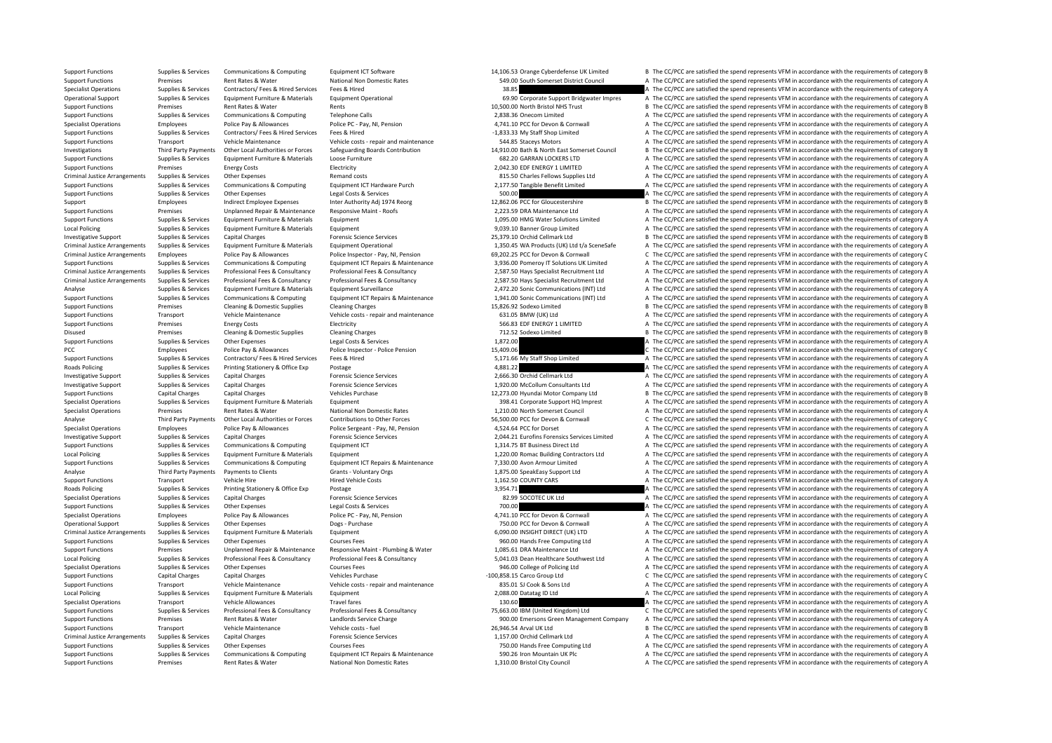Support Functions Supplies & Services Communications & Computing Equipment ICT Software Equipment ICT Software 14,106.53 Orange Cyberdefense UK Limited B The CC/PCC are satisfied the spend represents VFM in accordance with Support Functions Premises Rent Rates & Water National Non Domestic Rates 549.00 South Somerset District Council A The CC/PCC are satisfied the spend represents VFM in accordance with the requirements of category A Specialist Operations Supplies & Services Contractors/ Fees & Hired Services Fees & Hired Services Fees & Hired Services Fees & Hired A The CC/PCC are satisfied the spend represents VFM in accordance with the requirements Operational Support Support Supplies & Services Equipment Furniture & Materials Equipment Operational exceptional<br>Support Functions Premises Rent Rates & Water Rents Rents Rents Rents Rents Rents Rents Rents Rents Rents Re Premises Rent Rates & Water Rents Rents Rents Rents Rents Rents Rents Rents Rents Rents Rent Rates Rents Rents Rents Rents Rents Rents Rents Rents Rents Rents Rents Rents Rents Rents Rents Rents Rents Rents Rents Rents Ren Support Functions Supplies & Services Communications & Computing Telephone Calls a Telephone Calls 2,838.36 Onecom Limited A The CC/PCC are satisfied the spend represents VFM in accordance with the requirements of category Specialist Operations Employees Police Pay & Allowances Police PC - Pay, NI, Pension 4,741.10 PCC for Devon & Cornwall A The CC/PCC are satisfied the spend represents VFM in accordance with the requirements of category A T Support Functions Supplies & Services Contractors/ Fees & Hired Fees & Hired Services Fees & Hired Services Fees & Hired A The CC/PCC are satisfied the spend represents VFM in accordance with the requirements of category A Support Functions Transport Vehicle Maintenance Vehicle costs ‐ repair and maintenance S44.85 Staceys Motors A The CC/PCC are satisfied the spend represents VFM in accordance with the requirements of category A Investigations Third Party Payments Other Local Authorities or Forces Safeguarding Boards Contribution 14,910.00 Bath & North East Somerset Council <sup>B</sup> The CC/PCC are satisfied the spend represents VFM in accordance with the requirements of category B Support Functions Supplies & Services Equipment Furniture & Materials Loose Furniture Loose Furniture and the Second CARRAN LOCKERS LTD A The CC/PCC are satisfied the spend represents VFM in accordance with the requirement Support Functions Premises Energy Costs Electricity Electricity 2,042.30 EDF ENERGY 1 LIMITED A The CC/PCC are satisfied the spend represents VFM in accordance with the requirements of category A Criminal Justice Arrangements Supplies & Services Other Expenses Remand costs 815.50 Charles Fellows Supplies Ltd A The CC/PCC are satisfied the spend represents VFM in accordance with the requirements of category A Supplies & Services Communications & Computing Equipment ICT Hardware Purch 2,177.50 Tangible Benefit Limited A The CC/PCC are satisfied the spend represents VFM in accordance with the requirements of category A Support Functions Supplies & Services Other Expenses Legal Costs & Services Services 500.00 A The CC/PCC are satisfied the spend represents VFM in accordance with the requirements of category A Support Employees Indirect Employee Expenses Inter Authority Adj 1974 Reorg 12,862.06 PCC for Gloucestershire B The CC/PCC are satisfied the spend represents VFM in accordance with the requirements of category B Support Functions Premises Unplanned Repair & Maintenance Responsive Maint – Roofs 2,223.59 DRA Maintenance Ltd A The CC/PCC are satisfied the spend represents VFM in accordance with the requirements of category A The Crim Support Functions Supplies & Services Foujoment Furniture & Materials Foujoment 1,095.00 HMG Water Solutions Limited A The CC/PCC are satisfied the spend represents VFM in accordance with the requirements of category A Local Policing Supplies & Services Equipment Furniture & Materials Equipment Equipment 9,039.10 Banner Group Limited A The CC/PCC are satisfied the spend represents VFM in accordance with the requirements of category A Investigative Support Supplies & Services Capital Charges Category B The CONCO are satisfied the spend represents VFM in accordance with the requirements of category B The CONCO are satisfied the spend represents VFM in ac A The CC/PCC are satisfied the spend represents VEM in accordance with the requirements of category A Criminal lustice Arrangements Employees Police Pay & Allowances Police Inspector - Pay NL Pension 69.202.25 PCC for Devon & Cornwall C. The CC/PCC are satisfied the spend represents VEM in accordance with the requirements Support Functions Support & Services Communications & Computing Equipment ICT Repairs & Maintenance 3.936.00 Pomerov IT Solutions UK Limited A The CC/PCC are satisfied the spend represents VFM in accordance with the requir Criminal Justice Arrangements Supplies & Services Professional Fees & Consultancy Professional Fees & Consultancy Professional Fees & Consultancy Professional Fees & Consultancy Professional Fees & Consultancy Professional A The CC/PCC are satisfied the spend represents VFM in accordance with the requirements of category A Supplies Services Equipment Furniture & Materials Equipment Surveillance 2,472.20 Sonic Communications (INT) Ltd A The CC/PCC are satisfied the spend represents VFM in accordance with the requirements of category A Supplies & Services Communications & Computing Equipment ICT Repairs & Maintenance 1.941.00 Sonic Communications (INT) Ltd A The CC/PCC are satisfied the spend represents VFM in accordance with the requirements of category Support Functions Premises Cleaning & Domestic Supplies Cleaning Charges Cleaning Charges Cleaning Charges 15,826.92 Sodexo Limited B The CC/PCC are satisfied the spend represents VFM in accordance with the requirements of A The CC/PCC are satisfied the spend represents VFM in accordance with the requirements of category A Support Functions Premises Energy Costs Electricity Electricity Support Electricity 566.83 EDF ENERGY 1 LIMITED A The CC/PCC are satisfied the spend represents VFM in accordance with the requirements of category A Disused Premises Cleaning & Domestic Supplies Cleaning Charges Cleaning Charges 712.52 Sodexo Limited B The CC/PCC are satisfied the spend represents VFM in accordance with the requirements of category B Support Functions Supplies & Services Other Expenses Legal Costs & Services Legal Costs & Services Legal Costs & Services 1,872.00 A The CC/PCC are satisfied the spend represents VFM in accordance with the requirements of .<br>The CC/PCC are satisfied the spend represents VFM in accordance with the requirements of category C Support Functions Supplies & Services Contractors/ Fees & Hired Services Fees & Hired 5,171.66 My Staff Shop Limited A The CC/PCC are satisfied the spend represents VFM in accordance with the requirements of category A Roads Policing Supplies & Services Printing Stationery & Office Exp Postage Prosecution and a The CC/PCC are satisfied the spend represents VFM in accordance with the requirements of category A The CC/PCC are satisfied the Investigative Support Supplies & Services Capital Charges Forensic Science Services 2,666.30 Orchid Cellmark Ltd A The CC/PCC are satisfied the spend represents VFM in accordance with the requirements of category A Investigative Support Support Support Support Services Capital Charges Forensic Science Services 1,920.00 McCollum Consultants Ltd A The CC/PCC are satisfied the spend represents VFM in accordance with the requirements of Support Functions Capital Charges Capital Charges Capital Charges Vehicles Purchase 12,273.00 Hyundai Motor Company Ltd B The CC/PCC are satisfied the spend represents VFM in accordance with the requirements of category B<br> Specialist Operations Supplies & Services Equipment Furniture & Materials Equipment 398.41 Corporate Support HQ Imprest A The CC/PCC are satisfied the spend represents VFM in accordance with the requirements of category A Specialist Operations Premises Premises Rent Rates Rent Rates National Non Domestic Rates National Non Domestic Rates National Non Domestic Rates 1,210.00 North Somerset Council A The CC/PCC are satisfied the spend represe Third Party Payments Other Local Authorities or Forces Contributions to Other Forces S6,500.00 PCC for Devon & Commall C The CC/PCC are satisfied the spend represents VFM in accordance with the requirements of category C<br>S Specialist Operations Police Pay & Allowances Police Sergeant - Pay, NI, Pension 4,524.64 PCC for Dorset A The CC/PCC are satisfied the spend represents VFM in accordance with the requirements of category A The COPC are sa Investigative Support Supplies & Services Capital Charges Forensic Science Services (Science Services Services Capital Charges Services Capital Charges Services Capital Charges Services Capital Charges Services (Science Se Support Functions Supplies & Services Communications & Computing Equipment ICT 1,314.75 BT Business Direct Ltd A The CC/PCC are satisfied the spend represents VFM in accordance with the requirements of category A Local Policing Supplies Supplies & Services Equipment Furniture & Materials Equipment Equipment Equipment Equipment Equipment Equipment and the contractors Ltd A The CC/PCC are satisfied the spend represents VFM in accorda A The CC/PCC are satisfied the spend represents VFM in accordance with the requirements of category A Analyse Third Party Payments Payments to Clients Grants - Voluntary Orgs Grants - Voluntary Orgs 1,875.00 SpeakEasy Support Ltd A The CC/PCC are satisfied the spend represents VFM in accordance with the requirements of cat Support Functions Transport Vehicle Hire Hired Vehicle Costs Hired Vehicle Costs Hired Vehicle Costs and the COUNTY CARS A The CC/PCC are satisfied the spend represents VFM in accordance with the requirements of category A Roads Policing Supplies Supplies & Services Printing Stationery & Office Eye Postage 3, 2004.71 2007 2, 354.71 A The CC/PCC are satisfied the spend represents VFM in accordance with the requirements of category A Specialist Operations Supplies & Services Capital Charges **Forensic Science Services Forensic Science Services** 82.99 SOCOTEC UK Ltd A The CC/PCC are satisfied the spend represents VFM in accordance with the requirements Support Functions Supplies & Services Other Expenses Legal Costs & Services 200.00 A The CC/PCC are satisfied the spend represents VFM in accordance with the requirements of category A Specialist Operations Employees Police Pay & Allowances Police PC – Pay, NI, Pension 4,741.10 PCC for Devon & Cornwall A The CC/PCC are satisfied the spend represents VFM in accordance with the requirements of category A T Operational Support Supplies & Services Other Expenses Dogs - Purchase Dogs - Purchase 750.00 PCC for Devon & Cornwall A The CC/PCC are satisfied the spend represents VFM in accordance with the requirements of category A Criminal Justice Arrangements Supplies & Services Equipment Furniture & Materials Equipment Eduipment Equipment Eduipment Criminal Justice Arrangements VFM in accordance with the requirements of category A Support Functions Supplies & Services Other Expenses Courses Fees Courses Fees Courses Fees 960.00 Hands Free Computing Ltd A The CC/PCC are satisfied the spend represents VFM in accordance with the requirements of categor Support Functions Premises Unplanned Repair & Maintenance Responsive Maint • Plumbing & Water 1,085.61 DRA Maintenance Ltd A The CC/PCC are satisfied the spend represents VFM in accordance with the requirements of category Sunning & Sanirac Drefaccional Face & Concultance Profaccional Face & Concultance Profaccional Face & Concultance Profaccional Face & Concultance Concultance of catagory A San Hashbrare Southwast Itd A The CC/PCC are satis Specialist Operations Supplies & Services Other Expenses Courses Fees Courses Fees Courses Fees 946.00 College of Policing Ltd A The CC/PCC are satisfied the spend represents VFM in accordance with the requirements of cate Support Functions Capital Charges Capital Charges Capital Charges Capital Charges Vehicles Purchase Purchase Purchase – 100,858.15 Carco Group Ltd C The CC/PCC are satisfied the spend represents VFM in accordance with the Support Functions Transport Vehicle Maintenance Vehicle costs ‐ repair and maintenance 835.01 SJ Cook & Sons Ltd A The CC/PCC are satisfied the spend represents VFM in accordance with the requirements of category A Local Policing Supplies & Services Equipment Eurniture & Materials Equipment Equipment 2,088.00 Datatag ID Ltd A The CC/PCC are satisfied the spend represents VFM in accordance with the requirements of category A Specialist Operations Transport Vehicle Allowances Travel fares Travel fares 130.60 A The CC/PCC are satisfied the spend represents VFM in accordance with the requirements of category A Support Functions Supplies & Services Professional Fees & Consultancy Professional Fees & Consultancy Professional Fees & Consultancy Professional Fees & Consultancy Professional Fees & Consultancy Professional Fees & Cons Support Functions Premises Rent Rates & Water Landlords Service Charge 900.00 Emersons Green Management Company A The CC/PCC are satisfied the spend represents VFM in accordance with the requirements of category A Support Functions Transport Vehicle Maintenance Vehicle costs – fuel Vehicle costs – fuel 26,946.54 Arval UK Ltd B The CC/PCC are satisfied the spend represents VFM in accordance with the requirements of category B Crimina A The CC/PCC are satisfied the spend represents VFM in accordance with the requirements of category A Support Functions Supplies & Services Other Expenses Courses Fees Fees 750.00 Hands Free Computing Ltd A The CC/PCC are satisfied the spend represents VFM in accordance with the requirements of category A Support Functions Supplies & Services Communications & Computing Equipment ICT Repairs & Maintenance 590.26 Iron Mountain UK Plc A The CC/PCC are satisfied the spend represents VFM in accordance with the requirements of ca Support Functions Premises Rent Rates & Water National Non Domestic Rates 1,310.00 Bristol City Council A The CC/PCC are satisfied the spend represents VFM in accordance with the requirements of category A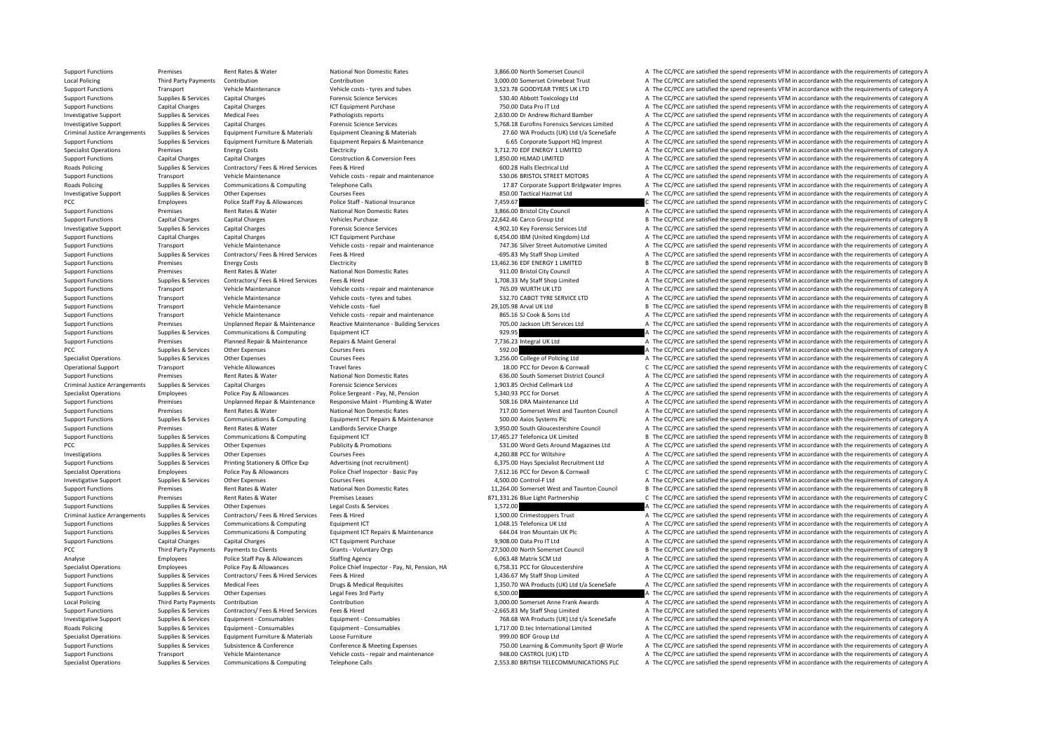Support Functions Premises Rent Rates & Water National Non Domestic Rates 3,866.00 North Somerset Council A The CC/PCC are satisfied the spend represents VFM in accordance with the requirements of category A Local Policing Third Party Payments Contribution Contribution Contribution Contribution Contribution 3,000.00 Somerset Crimebeat Trust A The CC/PCC are satisfied the spend represents VFM in accordance with the requirements Support Functions Transport Vehicle Maintenance Vehicle costs – tyres and tubes 3,523.78 GOODYEAR TYRES UK LTD A The CC/PCC are satisfied the spend represents VFM in accordance with the requirements of category A The Crite Support Functions Supplies & Services Capital Charges Support Forensic Science Services Forensic Science Services 530.40 Abbott Toxicology Ltd A The CC/PCC are satisfied the spend represents VFM in accordance with the requ Capital Charges Capital Charges Capital Charges Capital Charges Capital Charges ICT Ltd A The CC/PCC are satisfied the spend represents VFM in accordance with the requirements of category A Investigative Support Supplies & Services Medical Fees Pathologists reports Pathologists reports 2,630.00 Dr Andrew Richard Bamber A The CC/PCC are satisfied the spend represents VFM in accordance with the requirements of Investigative Support Supplies & Services Capital Charges Forensic Science Services Forensic Science Services S.768.18 Eurofins Forensics Services Entitled A The CC/PCC are satisfied the spend represents VFM in accordance Criminal lustice Arrangements Sunnlies & Services Foujoment Furniture & Materials Foujoment Cleaning & Materials Furniture & Materials Furniture at Materials Funniture and Formation Cleaning & Materials 27.60 WA Products ( Supplies & Services Equipment Furniture & Materials Equipment Repairs & Maintenance 6.65 Corporate Support HO Imprest A The CC/PCC are satisfied the spend represents VFM in accordance with the requirements of category A Specialist Operations Premises Energy Costs Electricity Electricity Electricity Electricity and the contraction of the CC/PCC are satisfied the spend represents VFM in accordance with the requirements of category A The CC/ Support Functions Capital Charges Capital Charges Capital Charges Construction & Conversion Fees 1,850.00 HLMAD LIMITED A The CC/PCC are satisfied the spend represents VFM in accordance with the requirements of category A Roads Policing Supplies Supplies Services Contractors/ Fees & Hired Services Fees & Hired 600.28 Halls Electrical Ltd A The CC/PCC are satisfied the spend represents VFM in accordance with the requirements of category A Th Support Functions Transport Vehicle Maintenance Vehicle costs ‐ repair and maintenance S30.06 BRISTOL STREET MOTORS A The CC/PCC are satisfied the spend represents VFM in accordance with the requirements of category A Roads Policing Supplies & Services Communications & Computing Telephone Calls 17.87 Corporate Support Bridgwater Impres A The CC/PCC are satisfied the spend represents VFM in accordance with the requirements of category A Investigative Support Supplies & Services Other Expenses Courses Fees 850.00 Tactical Hazmat Ltd A The CC/PCC are satisfied the spend represents VFM in accordance with the requirements of category A PCC PCC are satisfied the spend represents VFM in accordance with the requirements of category C Police Staff Pay & Allowances Police Staff - National Insurance 1999 and a 259.67 C 7.459.67 C 7.459.67 C 7.199.67 C 7.459.67 Support Functions Premises Rent Rates & Water National Non Domestic Rates 3,866.00 Bristol City Council A The CC/PCC are satisfied the spend represents VFM in accordance with the requirements of category A Support Functions Capital Charges Capital Charges Vehicles Purchase Vehicles Purchase 22,642.46 Carco Group Ltd B The CC/PCC are satisfied the spend represents VFM in accordance with the requirements of category B Investigative Support Support Support Support Capital Charges Capital Charges Forensic Science Services Forensic Services A The CC/PCC are satisfied the spend represents VFM in accordance with the requirements of category Support Functions Capital Charges Capital Charges Capital Charges Capital Charges Capital Charges Capital Charges ICT Equipment Purchase 107 107 36 1654.00 IBM (United Kingdom) Ltd A The CC/PCC are satisfied the spend repr Transport Vehicle Maintenance Vehicle costs - repair and maintenance and the case of the cost of the cost of the cost of the cost of the cost of the cost of the cost of the cost of the cost of the cost of the cost of the c Support Functions Supplies & Services Contractors/ Fees & Hired Fees & Hired Services Fees & Hired Services Fees & Hired Services Fees & Hired Services Fees & Hired Services Fees & Hired Services Fees & Hired Services Fees Support Functions Premises Energy Costs Electricity Electricity Electricity and the Support of the Support Energy Costs Energy Costs Electricity Electricity and the spend in accordance with the requirements of category B T Support Functions Premises Premises Rent Rates & Water National Non Domestic Rates 1911.00 Bristol City Council A The CC/PCC are satisfied the spend represents VFM in accordance with the requirements of category A The Supp A The CC/PCC are satisfied the spend represents VFM in accordance with the requirements of category A Support Functions Transport Vehicle Maintenance Vehicle costs repair and maintenance 765.09 WIRTH UK LTD A The CC/PCC are satisfied the spend represents VFM in accordance with the requirements of category A Support Functions Transport Vehicle Maintenance Vehicle costs – tyres and tubes 532.70 CABOT TYRE SERVICE LTD A The CC/PCC are satisfied the spend represents VFM in accordance with the requirements of category A Support Functions Transport Vehicle Maintenance Vehicle costs – fuel Vehicle costs – fuel 29,105.98 Arval UK Ltd B The CC/PCC are satisfied the spend represents VFM in accordance with the requirements of category B Vehicle Transport Vehicle Maintenance Vehicle costs ‐ repair and maintenance 865.16 SJ Cook & Sons Ltd A The CC/PCC are satisfied the spend represents VFM in accordance with the requirements of category A Support Functions Premises Diplanned Repair & Maintenance Reactive Maintenance - Building Services 705.00 Jackson Lift Services Ltd A The CC/PCC are satisfied the spend represents VFM in accordance with the requirements of Support Functions Supplies & Services Communications & Computing Equipment ICT 929.95 929.95 A The CC/PCC are satisfied the spend represents VFM in accordance with the requirements of category A Support Functions Premises Planned Repair & Maintenance Repairs & Maint General Repairs A The CONCE are satisfied the spend represents VFM in accordance with the requirements of category A The CC/PCC are satisfied the spen A The CC/PCC are satisfied the spend represents VFM in accordance with the requirements of category A Specialist Operations Supplies & Services Other Expenses Courses Fees Courses Fees 3,256.00 College of Policing Ltd A The CC/PCC are satisfied the spend represents VFM in accordance with the requirements of category A Operational Support Transport Vehicle Allowances Travel fares 18.00 PCC for Devon & Cornwall C The CC/PCC are satisfied the spend represents VFM in accordance with the requirements of category C Support Functions Premises Premises Rent Rates Rent Rates National Non Domestic Rates 636.00 South Somerset District Council A The CC/PCC are satisfied the spend represents VFM in accordance with the requirements of catego Criminal Justice Arrangements Supplies & Services Capital Charges Capital Charges Forensic Science Services 1,903.85 Orchid Cellmark Ltd A The CC/PCC are satisfied the spend represents VFM in accordance with the requiremen Specialist Operations Employees Police Pay & Allowances Police Sergeant - Pay, NI, Pension 5,340.93 PCC for Dorset A The CC/PCC are satisfied the spend represents VFM in accordance with the requirements of category A The C Support Functions Premises Unplanned Repair & Maintenance Responsive Maint • Plumbing & Water 508.16 DRA Maintenance Ltd A The CC/PCC are satisfied the spend represents VFM in accordance with the requirements of category A Support Functions Premises Rent Rates & Water National Non Domestic Rates 717.00 Somerset West and Taunton Council A The CC/PCC are satisfied the spend represents VFM in accordance with the requirements of category A Support Functions Supplies & Services Communications & Computing Equipment ICT Repairs & Maintenance 500.00 Axios Systems Plc AThe CC/PCC are satisfied the spend represents VFM in accordance with the requirements of catego Experiences Rent Rates & Water Landlords Service Charge 3,950.00 South Gloucestershire Council A The CC/PCC are satisfied the spend represents VFM in accordance with the requirements of category A Support Council Stupport Support Functions Supplies & Services Communications & Computing Foundment ICT 17,465.27 Telefonica UK Limited B The CC/PCC are satisfied the spend represents VFM in accordance with the requirements of category B PCC Supplies & Services Other Expenses Publicity & Promotions Fublicity & Promotions 531.00 Word Gets Around Magazines Ltd A The CC/PCC are satisfied the spend represents VFM in accordance with the requirements of category Investigations Supplies & Services Other Expenses Courses Fees Courses Fees Courses Fees A The CC for Wiltshire A The CC/PCC are satisfied the spend represents VFM in accordance with the requirements of category A The Supp A The CC/PCC are satisfied the spend represents VFM in accordance with the requirements of category A Specialist Operations Employees Police Pay & Allowances Police Chief Inspector - Basic Pay Police Chief Inspector - Basic Pay 7,612.16 PCC for Devon & Comwall C The CC/PCC are satisfied the spend represents VFM in accordan Investigative Support Supplies & Services Other Expenses Courses Fees Courses Courses Courses Courses Courses Courses Courses Courses Courses Courses and a The CC/PCC are satisfied the spend represents VFM in accordance Support Functions Premises Rent Rates & Water National Non Domestic Rates 11,264.00 Somerset West and Taunton Council B The CC/PCC are satisfied the spend represents VFM in accordance with the requirements of category B Support Functions Premises Rent Rates & Water Premises Leases Premises Leases 871,331.26 Blue Light Partnership C The CC/PCC are satisfied the spend represents VFM in accordance with the requirements of category C Support Functions Supplies & Services Other Expenses Legal Costs & Services 1,572.00 A The CC/PCC are satisfied the spend represents VFM in accordance with the requirements of category A Criminal Justice Arrangements Supplies & Services Contractors/Fees & Hired Services Fees & Hired Services Fees & Hired Services Fees & Hired 1,500.00 Crimestoppers Trust A The CC/PCC are satisfied the spend represents VFM Support Functions Supplies & Services Communications & Computing Foulnment ICT 1,048.15 Telefonica UK Itd A The CC/PCC are satisfied the spend represents VFM in accordance with the requirements of category A Support Functions Supplies & Services Communications & Computing Equipment ICT Repairs & Maintenance 644.04 Iron Mountain UK Plc A The CC/PCC are satisfied the spend represents VFM in accordance with the requirements of ca Support Functions Capital Charges Capital Charges Capital Charges Capital Charges ICT Equipment Purchase 1CT Equipment Purchase 9,908.00 Data Pro IT Ltd A The CC/PCC are satisfied the spend represents VFM in accordance wit PCC Third Party Payments Payments of Clients Grants - Voluntary Orgs Grants - Voluntary Orgs 27,500.00 North Somerset Council B The CC/PCC are satisfied the spend represents VFM in accordance with the requirements of categ Analyse Employees Police Staff Pay & Allowances Staffing Agency 6,063.48 Matrix SCM Ltd A The CC/PCC are satisfied the spend represents VFM in accordance with the requirements of category A Specialist Operations Employees Police Pay & Allowances Police Chief Inspector - Pay, NJ, Pension, HA 6,758.31 PCC for Gloucestershire A The CC/PCC are satisfied the spend represents VFM in accordance with the requirements Support Functions Supplies & Services Contractors/ Fees & Hired Services Fees & Hired Services Fees & Hired Services Fees & Hired A The CC/PCC are satisfied the spend represents VFM in accordance with the requirements of c Support Functions Supplies & Services Medical Fees Drugs & Medical Requisites 1,350.70 WA Products (UK) Ltd t/a SceneSafe A The CC/PCC are satisfied the spend represents VFM in accordance with the requirements of category Support Functions Supplies & Services Other Expenses Legal Fees 3rd Party Legal Fees 3rd Party 6,500.00 A The CC/PCC are satisfied the spend represents VFM in accordance with the requirements of category A Local Policing Third Party Payments Contribution 2000 Contribution Contribution Contribution 3,000.00 Somerset Anne Frank Awards A The CC/PCC are satisfied the spend represents VFM in accordance with the requirements of ca Support Functions Supplies & Services Contractors/ Fees & Hired Services Fees & Hired Services Fees & Hired Services Fees & Hired Services Fees & Hired A The CC55.83 My Staff Shop Limited A The CC/PCC are satisfied the spe Investigative Support Supplies & Services Foujoment Consumables Foujoment Consumables Function Consumables Foujoment Consumables Foujoment Consumables 768.68 WA Products (UK) I to the COPCC are satisfied the spend represen Roads Policing Supplies A Services Equipment - Consumables Equipment - Consumables Equipment - Consumables Equipment - Consumables Equipment - Consumables 1,717.00 D.tec International Limited A The CC/PCC are satisfied the A The CC/PCC are satisfied the spend represents VFM in accordance with the requirements of category A Suppliers & Services Subsistence & Conference Conference Conference Subsistence Conference Conference Conference Conference Conference Conference Conference Conference Conference Conference Conference Conference Conference Support Functions Transport Vehicle Maintenance Vehicle costs - repair and maintenance 948.00 CASTROL (UK) LTD A The CC/PCC are satisfied the spend represents VFM in accordance with the requirements of category A Supplies & Services Communications & Computing Telephone Calls Telephone Calls 2,553.80 BRITISH TELECOMMUNICATIONS PLC A The CC/PCC are satisfied the spend represents VFM in accordance with the requirements of category A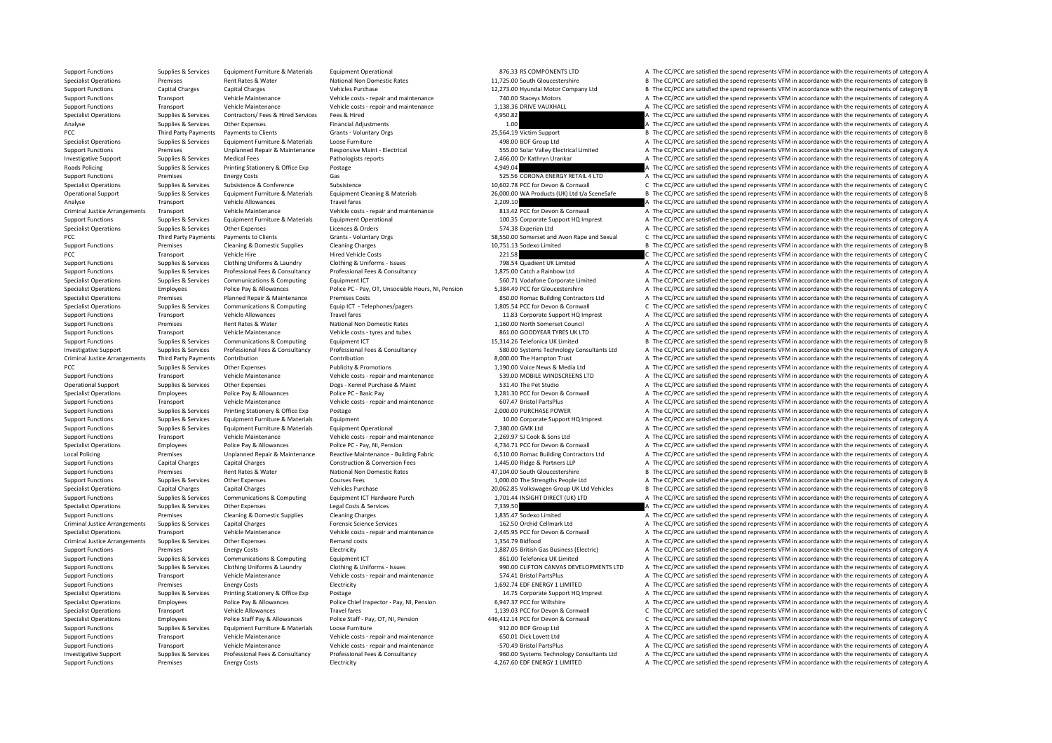Support Functions Supplies & Services Equipment Furniture & Materials Equipment Operational 876.33 RS COMPONENTS LTD A The CC/PCC are satisfied the spend represents VFM in accordance with the requirements of category A Specialist Operations Premises Rent Rates & Water National Non Domestic Rates 11,725.00 South Gloucestershire B The CC/PCC are satisfied the spend represents VFM in accordance with the requirements of category B Support Functions Capital Charges Capital Charges Vehicles Purchase Vehicles Purchase 12,273.00 Hyundai Motor Company Ltd B The CC/PCC are satisfied the spend represents VFM in accordance with the requirements of category Support Functions Transport Vehicle Maintenance Vehicle costs – repair and maintenance 740.00 Staceys Motors A The CC/PCC are satisfied the spend represents VFM in accordance with the requirements of category A The Support Transport Vehicle Maintenance Vehicle costs ‐ repair and maintenance 1,138.36 DRIVE VAUXHALL A The CC/PCC are satisfied the spend represents VFM in accordance with the requirements of category A Specialist Operations Supplies & Services Contractors/ Fees & Hired Services Fees & Hired A The CODEC are satisfied the spend represents VFM in accordance with the requirements of category A Analyse Supplies & Services Other Expenses Financial Adjustments Financial Adjustments 1.00 A The CC/PCC are satisfied the spend represents VFM in accordance with the requirements of category A The requirements of category PCC Third Party Payments Developers of Grants Voluntary Orgs 25,564.19 Victim Support B The CC/PCC are satisfied the spend represents VFM in accordance with the requirements of category B Specialist Operations Supplies & Services Equipment Furniture & Materials Loose Furniture and Equipment A The CC/PCC are satisfied the spend represents VFM in accordance with the requirements of category A Support Functions Premises Premises Unplanned Repair & Maintenance Responsive Maint-Electrical Support Electrical Support A The CC/PCC are satisfied the spend represents VFM in accordance with the requirements of category Investigative Support Supplies & Services Medical Fees Pathologists reports Pathologists reports 2,466.00 Dr Kathryn Urankar A The CC/PCC are satisfied the spend represents VFM in accordance with the requirements of catego Roads Policing Supplies A Services Printing Stationery & Office Exp Postage Printing Stationery and Postage Postage 1,949.04 A The CC/PCC are satisfied the spend represents VFM in accordance with the requirements of catego Support Functions Premises Energy Costs Gas Gas Support Company Content Content Content Content Content Content Content Content Content Content Content Content Content Content Content Content Content Content Content Conten Specialist Operations Supplies & Services Subsistence & Conference Subsistence Subsistence Subsistence Subsistence Subsistence Subsistence Subsistence Subsistence Subsistence Subsistence Subsistence Subsistence Anaterials Operational Support Supplies & Services Equipment Furniture & Materials Equipment Cleaning & Materials Equipment Cleaning & Materials 26,000.00 WA Products (UK) Ltd t/a SceneSafe B The CC/PCC are satisfied the spend repres Analyse Transport Vehicle Allowances Travel fares Travel fares Travel fares 2,209.10 A The CC/PCC are satisfied the spend represents VFM in accordance with the requirements of category A The Subsection of the Subsection of Criminal Justice Arrangements Transport Vehicle Maintenance Vehicle costs - repair and maintenance experiments and the CC/PCC are satisfied the spend represents VFM in accordance with the requirements of category A Support Functions Supplies & Services Equipment Furniture & Materials Equipment Operational Equipment Operational 100.35 Corporate Support HQ Imprest A The CC/PCC are satisfied the spend represents VFM in accordance with t Specialist Operations Supplies & Services Other Expenses Licences & Orders Licences A The CC/PCC are satisfied the spend represents VFM in accordance with the requirements of category A PCC Third Party Payments Payments to Clients Grants - Voluntary Orgs 58,550.00 Somerset and Avon Rape and Sexual C The CC/PCC are satisfied the spend represents VFM in accordance with the requirements of category C Supersi B. The CC/PCC are satisfied the spend represents VFM in accordance with the requirements of category B PCC Transport Vehicle Hire Vehicle Enterty Price Costs 221.58 221.58 C The CC/PCC are satisfied the spend represents VFM in accordance with the requirements of category C Support Functions Supplies & Services Clothing Uniforms & Laundry Clothing & Uniforms - Issues 798.54 Quadient UK Limited A The CC/PCC are satisfied the spend represents VFM in accordance with the requirements of category Support Functions Supplies & Services Professional Fees & Consultancy Professional Fees & Consultancy Professional Fees & Consultancy Consultancy 1,875.00 Catch a Rainbow Ltd A The CC/PCC are satisfied the spend represents Specialist Operations Supplies & Services Communications & Computing Equipment ICT 560.71 Vodafone Corporate Limited A The CC/PCC are satisfied the spend represents VFM in accordance with the requirements of category A Specialist Operations and Employees Police Pay & Allowances Police PC - Pay OT Unsociable Hours NJ Pension 5 38449 PC for Glourestershire and The CC/PCC are satisfied the spend represents VEM in accordance with the require Specialist Operations Premises Planned Repair & Maintenance Premises Costs 850.00 Romac Building Contractors Ltd A The CC/PCC are satisfied the spend represents VFM in accordance with the requirements of category A Supplies & Services Communications & Computing Equip (CT - Telephones/pagers and the mass of the CC for Devon & Communil Computing Computer of the CC/PCC are satisfied the spend represents VFM in accordance with the requir A The CC/PCC are satisfied the spend represents VFM in accordance with the requirements of category A Support Functions Premises Rent Rates & Water National Non Domestic Rates 1,160.00 North Somerset Council A The CC/PCC are satisfied the spend represents VFM in accordance with the requirements of category A Support Functions Transport Vehicle Maintenance Vehicle costs – tyres and tubes 861.00 GOODYEAR TYRES UK LTD A The CC/PCC are satisfied the spend represents VFM in accordance with the requirements of category A Support Functions Supplies & Services Communications & Computing Equipment ICT Equipment ICT 15,314.26 Telefonica UK Limited B The CC/PCC are satisfied the spend represents VFM in accordance with the requirements of catego A The CC/PCC are satisfied the spend represents VFM in accordance with the requirements of category A Criminal Justice Arrangements Third Party Payments Contribution Contribution Contribution Contribution Contribution Contribution Contribution Contribution Contribution Contribution Contribution and the contribution and the PCC PCC Supplies Propenses Publicity & Promotions Publicity & Promotions 1,190.00 Voice News & Media Ltd A The CC/PCC are satisfied the spend represents VFM in accordance with the requirements of category A The Supplies A Support Functions Transport Vehicle Maintenance Vehicle costs ‐ repair and maintenance 539.00 MOBILE WINDSCREENS LTD A The CC/PCC are satisfied the spend represents VFM in accordance with the requirements of category A Operational Support Supplies & Services Other Expenses Dogs – Kennel Purchase & Maint 531.40 The Pet Studio A The CC/PCC are satisfied the spend represents VFM in accordance with the requirements of category A The CC/PC ar Specialist Operations Employees Police Pay & Allowances Police PC - Basic Pay 3,281.30 PCC for Devon & Cornwall A The CC/PCC are satisfied the spend represents VFM in accordance with the requirements of category A The Spen Support Functions Transport Vehicle Maintenance Vehicle costs ‐ repair and maintenance 607.47 Bristol PartsPlus A The CC/PCC are satisfied the spend represents VFM in accordance with the requirements of category A Support Functions Supplies & Services Printing Stationery & Office Exp Postage 2,000.00 PURCHASE POWER A The CC/PCC are satisfied the spend represents VFM in accordance with the requirements of category A Support Functions Supplies & Services Equipment Furniture & Materials Equipment Equipment Equipment Equipment and the Support HQ Imprest A The CC/PCC are satisfied the spend represents VFM in accordance with the requiremen Equipment Furniture & Materials Equipment Operational 7,380.00 GMK Ltd A The CC/PCC are satisfied the spend represents VFM in accordance with the requirements of category A The CC/PCC are satisfied the spend represents VFM Support Functions Transport Vehicle Maintenance Vehicle costs ‐ repair and maintenance 2,269.97 SJ Cook & Sons Ltd A The CC/PCC are satisfied the spend represents VFM in accordance with the requirements of category A Specialist Operations Employees Police Pay & Allowances Police PC - Pay, NI, Pension 4,734.71 PCC for Devon & Cornwall A The CC/PCC are satisfied the spend represents VFM in accordance with the requirements of category A Local Policing Premises Premises Unplanned Repair & Maintenance Reactive Maintenance - Building Fabric 6,510.00 Romac Building Contractors Ltd A The CC/PCC are satisfied the spend represents VFM in accordance with the requ A The CC/PCC are satisfied the spend represents VFM in accordance with the requirements of category A Support Functions Premises Rent Rates & Water National Non Domestic Rates 47,104.00 South Gloucestershire B The CC/PCC are satisfied the spend represents VFM in accordance with the requirements of category B Support Functions Supplies & Services Other Expenses Courses Fees Courses Fees 1,000.00 The Strengths People Ltd A The CC/PCC are satisfied the spend represents VFM in accordance with the requirements of category A Specialist Operations Capital Charges Capital Charges Vehicles Purchase 20,062.85 Volkswagen Group UK Ltd Vehicles B The CC/PCC are satisfied the spend represents VFM in accordance with the requirements of category B Support Functions Supplies & Services Communications & Computing Equipment ICT Hardware Purch 1.701.44 INSIGHT DIRECT (UK) LTD A The CC/PCC are satisfied the spend represents VFM in accordance with the requirements of cate Specialist Operations Supplies & Services Other Expenses Legal Costs & Services 2008 A The CC/PCC are satisfied the spend represents VFM in accordance with the requirements of category A Support Functions Premises Cleaning & Domestic Supplies Cleaning Charges Cleaning Charges Cleaning Charges 1,835.47 Sodexo Limited A The CC/PCC are satisfied the spend represents VFM in accordance with the requirements of Criminal Justice Arrangements Supplies & Services Capital Charges Forensic Science Services Forensic Science Services 162.50 Orchid Cellmark Ltd A The CC/PCC are satisfied the spend represents VFM in accordance with the re Specialist Operations Transport Vehicle Maintenance Vehicle costs - repair and maintenance Vehicle costs - repair and maintenance 2,445.95 PCC for Devon & Cornwall A The CC/PCC are satisfied the spend represents VFM in acc Criminal Justice Arrangements Supplies & Services Other Expenses Manad costs Remand costs Remand costs Remand costs 1,354.79 Bidfood A The CC/PCC are satisfied the spend represents VFM in accordance with the requirements o Support Functions Premises Energy Costs Electricity Electricity Electricity and the content of category A The CC/PCC are satisfied the spend represents VFM in accordance with the requirements of category A The Criticity an Support Functions Supplies & Services Communications & Computing Faulthment ICT 861.00 Telefonica UK Limited A The CC/PCC are satisfied the spend represents VFM in accordance with the requirements of category A Support Functions Supplies & Services Clothing Uniforms & Laundry Clothing & Uniforms - Issues 990.00 CLIFTON CANVAS DEVELOPMENTS LTD A The CC/PCC are satisfied the spend represents VFM in accordance with the requirements Support Functions Transport Vehicle Maintenance Vehicle costs - repair and maintenance 574.41 Bristol PartsPlus A The CC/PCC are satisfied the spend represents VFM in accordance with the requirements of category A The Cris Support Functions Premises Energy Costs Functions Electricity Electricity 1,692.74 EDF ENERGY 1 LIMITED A The CC/PCC are satisfied the spend represents VFM in accordance with the requirements of category A Specialist Operations Supplies & Services Printing Stationery & Office Exp Postage 14.75 Corporate Support HQ Imprest A The CC/PCC are satisfied the spend represents VFM in accordance with the requirements of category A Specialist Operations Employees Police Pay & Allowances Police Chief Inspector - Pay, Ni, Pension 6,947.37 PCC for Wiltshire And the CC/PCC are satisfied the spend represents VFM in accordance with the requirements of cate Specialist Operations Transport Vehicle Allowances Travel fares Travel fares Travel fares Travel fares Travel fares Travel fares Travel fares Travel fares and the spend operations C The CC/PCC are satisfied the spend repre Specialist Operations Employees Police Staff Pay & Allowances Police Staff - Pay OT NL Pension 446 412.14 PCC for Devon & Commall C The CC/PCC are satisfied the spend represents VEM in accordance with the requirements of c Support Functions Supplies & Services Equipment Furniture & Materials Loose Furniture and maintenance 912.00 BOF Group Ltd A The CC/PCC are satisfied the spend represents VFM in accordance with the requirements of category A The CC/PCC are satisfied the spend represents VFM in accordance with the requirements of category A Support Functions Transport Vehicle Maintenance Vehicle costs ‐ repair and maintenance – 570.49 Bristol PartsPlus A The CC/PCC are satisfied the spend represents VFM in accordance with the requirements of category A Investigative Support Support Supplies & Services Professional Fees & Consultancy Professional Fees & Consultancy Professional Fees & Consultancy Professional Fees & Consultancy Professional Fees & Consultancy Support and Support Functions Premises Energy Costs Electricity Electricity A The CC/PCC are satisfied the spend represents VFM in accordance with the requirements of category A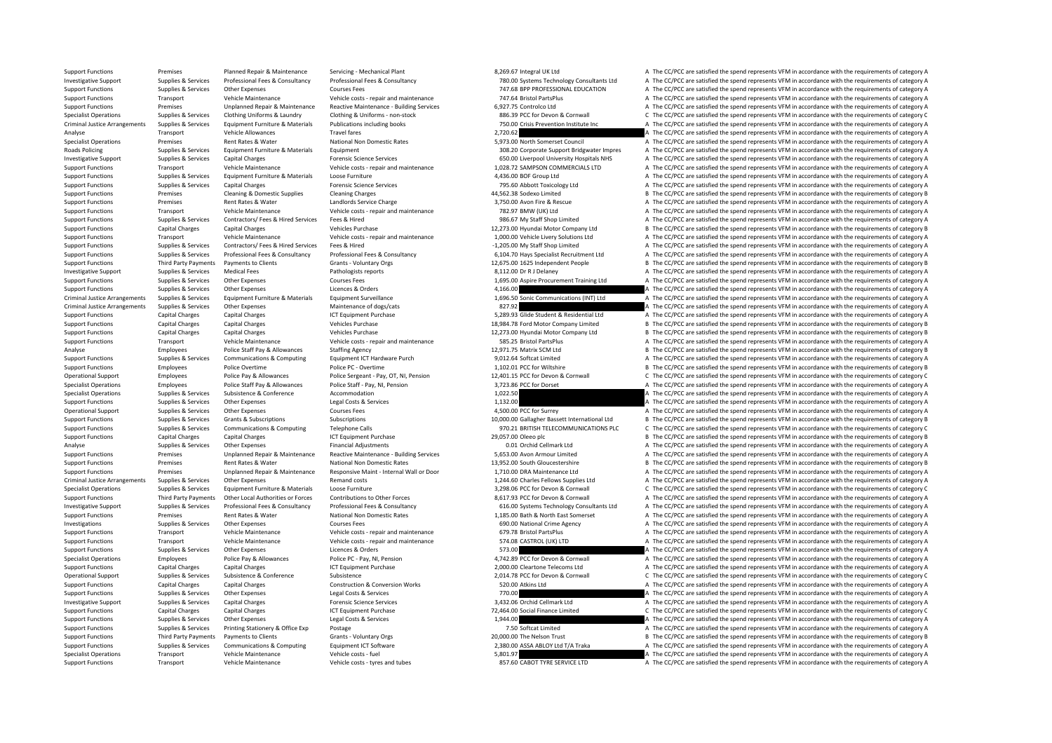Support Functions Transport Vehicle Maintenance Vehicle costs – tyres and tubes 857.60 CABOT TYRE SERVICE LTD A The CC/PCC are satisfied the spend represents VFM in accordance with the requirements of category A

Support Functions Premises Planned Repair & Maintenance Servicing - Mechanical Plant 8,269.67 Integral UK Ltd A The CC/PCC are satisfied the spend represents VFM in accordance with the requirements of category A Investigative Support Supplies & Services Professional Fees & Consultancy Professional Fees & Consultancy Professional Fees & Consultancy Professional Fees & Consultancy Professional Fees & Consultancy Matery 280.00 System Support Functions Supplies & Services Other Expenses Courses Fees Courses Fees 747.68 BPP PROFESSIONAL EDUCATION A The CC/PCC are satisfied the spend represents VFM in accordance with the requirements of category A Support Functions Transport Vehicle Maintenance Vehicle costs – repair and maintenance 747.64 Bristol PartsPlus A The CC/PCC are satisfied the spend represents VFM in accordance with the requirements of category A The CC/P Premises Unplanned Repair & Maintenance Reactive Maintenance – Building Services 6,927.75 Controlco Ltd A The CC/PCC are satisfied the spend represents VFM in accordance with the requirements of category A Supplies & Services Clothing Uniforms & Laundry Clothing & Uniforms - non-stock 886.39 PCC for Devon & Cornwall C The CC/PCC are satisfied the spend represents VFM in accordance with the requirements of category C Criminal Justice Arrangements Supplies & Services Equipment Furniture & Materials Publications including books 750.00 Crisis Prevention Institute Inc A The CC/PCC are satisfied the spend represents VFM in accordance with t Analyse Transport Vehicle Allowances Travel fares Travel fares 2,720.62 2,720.62 A The CC/PCC are satisfied the spend represents VFM in accordance with the requirements of category A Specialist Operations Premises Rent Rates & Water National Non Domestic Rates 5,973.00 North Somerset Council A The CC/PCC are satisfied the spend represents VFM in accordance with the requirements of category A Roads Policing Supplies & Services Equipment Furniture & Materials Equipment 308.20 Corporate Support Bridgwater Impres A The CC/PCC are satisfied the spend represents VFM in accordance with the requirements of category A Experience of the CONSULTANET CONSULTING TO A THE CONSULTING TO A THE CONSULTING THE CONSULTING A THE CONSULTING THE CONSULTING THE CONSULTING THE CONSULTING THE CONSULTING THE CONSULTING THE CONSULTING THE CONSULTING THE Support Functions Transport Vehicle Maintenance Vehicle costs • repair and maintenance 1,028.72 SAMPSON COMMERCIALS LTD A The CC/PCC are satisfied the spend represents VFM in accordance with the requirements of category A Support Functions Supplies & Services Equipment Furniture & Materials Loose Furniture and the requirements of category A The CC/PCC are satisfied the spend represents VFM in accordance with the requirements of category A Support Functions Supplies & Services Capital Charges Forensic Science Services Forensic Science Services 795.60 Abbott Toxicology Ltd A The CC/PCC are satisfied the spend represents VFM in accordance with the requirements Support Functions Premises Cleaning & Domestic Supplies Cleaning Charges A4,562.38 Sodexo Limited B The CC/PCC are satisfied the spend represents VFM in accordance with the requirements of category B Support Functions Premises Rent Rates & Water Landlords Service Charge Landlords Service Charge 3,750.00 Avon Fire & Rescue A The CC/PCC are satisfied the spend represents VFM in accordance with the requirements of categor Support Functions Transport Vehicle Maintenance Vehicle costs ‐ repair and maintenance 782.97 BMW (UK) Ltd A The CC/PCC are satisfied the spend represents VFM in accordance with the requirements of category A Support Functions Supplies & Services Contractors/ Fees & Hired Services Fees & Hired 986.67 My Staff Shop Limited A The CC/PCC are satisfied the spend represents VFM in accordance with the requirements of category A Support Functions Capital Charges Capital Charges Vehicles Purchase 12,273.00 Hyundai Motor Company Ltd B The CC/PCC are satisfied the spend represents VFM in accordance with the requirements of category B Experiment Support European Transport Vehicle Maintenance Maintenance Vehicle costs - repair and maintenance vehicle costs - repair and maintenance and the maintenance of the CC/PCC are satisfied the spend represents VFM i A The CC/PCC are satisfied the spend represents VFM in accordance with the requirements of category A Supplies & Services Professional Fees & Consultancy Professional Fees & Consultancy Professional Fees & Consultancy Professional Fees & Consultancy Professional Fees & Consultancy Professional Fees & Consultancy Profession Support Functions Third Party Payments Payments to Clients Grants - Voluntary Orgs 12,675.00 1625 Independent People B The CC/PCC are satisfied the spend represents VFM in accordance with the requirements of category B Investigative Support Supplies & Services Medical Fees Pathologists reports Pathologists reports 8,112.00 Dr R J Delaney A The CC/PCC are satisfied the spend represents VFM in accordance with the requirements of category A Supplies Tunctions Support Functions Courses A Services Courses Teams A The CC/PCC are satisfied the spend represents VFM in accordance with the requirements of category A The CC/PCC are satisfied the spend represents VFM Support Functions Supplies & Services Other Expenses Licences Burders A The Other Licences A The CC/PC are satisfied the spend represents VFM in accordance with the requirements of category A Criminal Justice Arrangements Supplies & Services Equipment Furniture & Materials Equipment Surveillance communications 1.696.50 Sonic Communications (INT) Ltd A The CC/PCC are satisfied the spend represents VFM in accorda Criminal Justice Arrangements Supplies & Services Other Expenses Maintenance of dogs/cats Maintenance of dogs/cats 827.92 A The CC/PCC are satisfied the spend represents VFM in accordance with the requirements of category Support Functions Capital Charges Capital Charges ICT Equipment Purchase 5,289.93 Glide Student & Residential Ltd A The CC/PCC are satisfied the spend represents VFM in accordance with the requirements of category A Support Functions Capital Charges Capital Charges Vehicles Purchase Vehicles Purchase 18,984.78 Ford Motor Company Limited B The CC/PCC are satisfied the spend represents VFM in accordance with the requirements of category Support Functions Capital Charges Capital Charges Vehicles Purchase Vehicles Purchase 12,273.00 Hyundai Motor Company Ltd B The CC/PCC are satisfied the spend represents VFM in accordance with the requirements of category Support Functions Transport Vehicle Maintenance Vehicle costs – repair and maintenance 585.25 Bristol PartsPlus A The CC/PCC are satisfied the spend represents VFM in accordance with the requirements of category A The Supp B The CC/PCC are satisfied the spend represents VFM in accordance with the requirements of category B Support Functions Supplies & Services Communications & Computing Equipment ICT Hardware Purch 9,012.64 Softcat Limited A The CC/PCC are satisfied the spend represents VFM in accordance with the requirements of category A T Support Functions Functions Functions Police Overtime Police PC - Overtime Police PC - Overtime Police PC - Overtime Police PC - Overtime 1,102.01 PCC for Wiltshire B The CC/PCC are satisfied the spend represents VFM in ac Operational Support Employees Police Pay & Allowances Police Sergeant - Pay, OT, NI, Pension 12,401.15 PCC for Devon & Cornwall C The CC/PCC are satisfied the spend represents VFM in accordance with the requirements of cat Specialist Operations Employees Police Staff Pay & Allowances Police Staff - Pay NI, Pension 3,723.86 PCC for Dorset A The CC/PCC are satisfied the spend represents VFM in accordance with the requirements of category A Specialist Operations Supplies & Services Subsistence Subsistence Accommodation Accommodation Accommodation Accommodation 1,022.50 A The CC/PCC are satisfied the spend represents VFM in accordance with the requirements of Support Functions Supplies & Services Other Expenses Legal Costs & Services 1,132.00 A The CC/PCC are satisfied the spend represents VFM in accordance with the requirements of category A Operational Support Supplies & Services Other Expenses Courses Fees Courses Fees A The CC/PCC for Surrey A The CC/PCC are satisfied the spend represents VFM in accordance with the requirements of category A Support Functions Supplies & Services Grants & Subscriptions Subscriptions Subscriptions Subscriptions Subscriptions Subscriptions Subscriptions and the spend of the correctional Ltd B The CC/PCC are satisfied the spend re Support Functions Supplies & Services Communications & Computing Telephone Calls **970.21 BRITISH TELECOMMUNICATIONS PLC** C The CC/PCC are satisfied the spend represents VFM in accordance with the requirements of category C Capital Charges Capital Charges ICT Equipment Purchase 29,057.00 Oleeo plc B The CC/PCC are satisfied the spend represents VFM in accordance with the requirements of category B Analyse Supplies & Services Other Expenses Financial Adjustments Financial Adjustments 10.01 Orchid Cellmark Ltd A The CC/PCC are satisfied the spend represents VFM in accordance with the requirements of category A Example of the CONC are satisfied the spend represents VFM in accordance with the requirements of category and the members of category Manufold of Support Functions of the CONC are satisfied the spend represents VFM in acc Premises Rent Rates & Water National Non Domestic Rates 13,952.00 South Gloucestershire B The CC/PCC are satisfied the spend represents VFM in accordance with the requirements of category B Support Functions Premises Diplanned Repair & Maintenance Responsive Maint - Internal Wall or Door 1,710.00 DRA Maintenance Ltd A The CC/PCC are satisfied the spend represents VFM in accordance with the requirements of cat Criminal Justice Arrangements Supplies & Services Other Expenses Remand costs Remand costs Remand costs Remand costs Remand costs 1,244.60 Charles Fellows Supplies Ltd A The CC/PCC are satisfied the spend represents VFM in Supplier Curry Curry Supplier & Sandical Supplier Supplier Supplier Supplier Supplier Supplier Supplier Supplier Supplier Supplier Supplier Supplier Supplier Supplier Supplier Supplier Supplier Supplier Supplier Supplier S Support Functions Third Party Payments Other Local Authorities or Forces Contributions to Other Forces S.617.93 PCC for Devon & Cornwall A The CC/PCC are satisfied the spend represents VFM in accordance with the requiremen Investigative Support Supplies & Services Professional Fees & Consultancy Professional Fees & Consultancy Professional Fees & Consultancy Professional Fees & Consultancy Professional Fees & Consultancy Support and The CC/P Support Functions Premises Rent Rates Rent Rates Rent Rates National Non Domestic Rates National Non Domestic Rates 1,185.00 Bath & North East Somerset A The CC/PCC are satisfied the spend represents VFM in accordance with Investigations Supplies & Services Other Expenses Courses Fees 690.00 National Crime Agency A The CC/PCC are satisfied the spend represents VFM in accordance with the requirements of category A Support Functions Transport Vehicle Maintenance Vehicle costs ‐ repair and maintenance 679.78 Bristol PartsPlus A The CC/PCC are satisfied the spend represents VFM in accordance with the requirements of category A Support Functions Transport Vehicle Maintenance Vehicle costs - repair and maintenance STA.08 CASTROL (UK) LTD A The CC/PCC are satisfied the spend represents VFM in accordance with the requirements of category A Support Functions Supplies & Services Other Expenses Licences & Orders Licences & Orders Licences & Orders Licences & Orders 573.00 A The CC/PCC are satisfied the spend represents VFM in accordance with the requirements of Specialist Operations Employees Police Pay & Allowances Police PC · Pay, NI, Pension 4,742.89 PCC for Devon & Cornwall A The CC/PCC are satisfied the spend represents VFM in accordance with the requirements of category A Support Functions Capital Charges Capital Charges Capital Charges ICT Equipment Purchase 2,000.00 Cleartone Telecoms Ltd A The CC/PCC are satisfied the spend represents VFM in accordance with the requirements of category A Operational Support Supplies & Services Subsistence Subsistence Subsistence Subsistence Subsistence 2,014.78 PCC for Devon & Cornwall C The CC/PCC are satisfied the spend represents VFM in accordance with the requirements Support Functions Capital Charges Capital Charges Construction & Conversion Works 520.00 Atkins Ltd A The CC/PCC are satisfied the spend represents VFM in accordance with the requirements of category A Support Functions Supplies & Services Other Expenses Legal Costs & Services Legal Costs & Services 2001 A The CC/PCC are satisfied the spend represents VFM in accordance with the requirements of category A Investigative Support Supplies & Services Capital Charges Support Support Support Support Capital Charges Capital Charges Capital Charges Support Charges Forensic Science Services Support Support Charges Caninal Charges Ca Support Functions Capital Charges Capital Charges Capital Charges ICT Equipment Purchase 1984.00 Social Finance Limited C The CC/PCC are satisfied the spend represents VFM in accordance with the requirements of category C Support Functions Supplies & Services Other Expenses Legal Costs & Services 1,944.00 A The CC/PCC are satisfied the spend represents VFM in accordance with the requirements of category A Support Functions Supplies & Services Printing Stationery & Office Exp Postage Printing Postage 7.50 Softcat Limited A The CC/PCC are satisfied the spend represents VFM in accordance with the requirements of category A Sup Support Functions Trust Third Party Clients Third Party Party Payment Clients Crants Crants Crants Contents (C<br>B The CC/PCC are satisfied the spend represents VFM in accordance with the requirements of category B The Cran<br> Support Functions Supplies & Services Communications & Computing Foujoment ICT Software 2,380.00 ASSA ABLOY Ltd T/A Traka A The CC/PCC are satisfied the spend represents VFM in accordance with the requirements of category Specialist Operations Transport Vehicle Maintenance Vehicle costs – fuel Vehicle costs – fuel Vehicle costs – fuel Vehicle costs – fuel Spend and The CC/PCC are satisfied the spend represents VFM in accordance with the req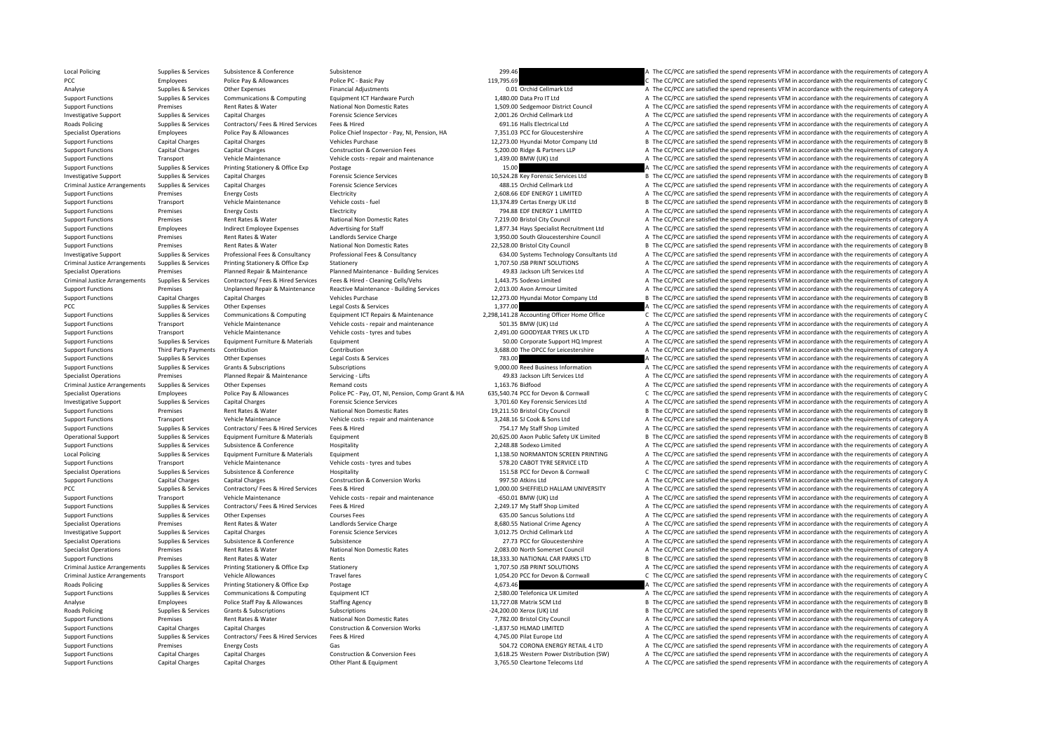Local Policing Supplies & Services Subsistence Subsistence Subsistence Subsistence Subsistence 209.46 A The CC/PCC are satisfied the spend represents VFM in accordance with the requirements of category A PCC Employees Police Pay & Allowances Police PC - Basic Pay 119,795.69 119,795.69 Police and The CC/PCC are satisfied the spend represents VFM in accordance with the requirements of category C Analyse Supplies Services Other Expenses Financial Adjustments Financial Adjustments Cellmark Ltd A The CC/PCC are satisfied the spend represents VFM in accordance with the requirements of category A The Crimark Ltd Suppli Support Functions Supplies & Services Communications & Computing Equipment ICT Hardware Purch 1,480.00 Data Pro IT Ltd A The CC/PCC are satisfied the spend represents VFM in accordance with the requirements of category A T Premises Rent Rates & Water National Non Domestic Rates 1,509.00 Sedgemoor District Council A The CC/PCC are satisfied the spend represents VFM in accordance with the requirements of category A Investigative Support Supplies & Services Capital Charges Capital Charges Forensic Science Services Forensic Science Services 2,001.26 Orchid Cellmark Ltd A The CC/PCC are satisfied the spend represents VFM in accordance w Roads Policing Supplies Services Contractors/ Fees & Hired Services Fees & Hired Services Fees & Hired 691.16 Halls Electrical Ltd A The CC/PCC are satisfied the spend represents VFM in accordance with the requirements of Specialist Operations Fundoves Police Pay & Allowances Police Chief Inspector - Pay, NJ. Pension, HA 7.351.03 PCC for Gloucestershire A The CC/PCC are satisfied the spend represents VEM in accordance with the requirements Support Functions Capital Charges Capital Charges Vehicles Purchase 12,273.00 Hyundai Motor Company Ltd B The CC/PCC are satisfied the spend represents VFM in accordance with the requirements of category B Support Functions Capital Charges Capital Charges Capital Charges Capital Charges Capital Charges Capital Charges Capital Charges Capital Charges Capital Charges Capital Charges Construction & Conversion Fees 5,200.00 Ridg Support Functions Transport Vehicle Maintenance Vehicle costs ‐ repair and maintenance 1,439.00 BMW (UK) Ltd A The CC/PCC are satisfied the spend represents VFM in accordance with the requirements of category A Support Functions Supplies & Services Printing Stationery & Office Exp Postage Printing Stationery & Office Exp Postage 15.00 15.00 15.00 15.00 A The CC/PCC are satisfied the spend represents VFM in accordance with the req Investigative Support Support Support Capital Charges Capital Charges Forensic Science Services 10,524.28 Key Forensic Services Ltd B The CC/PCC are satisfied the spend represents VFM in accordance with the requirements of Criminal Justice Arrangements Supplies & Services Capital Charges Capital Charges Forensic Science Services Forensic Science Services and the Services and the CC/PCC are satisfied the spend represents VFM in accordance wit Support Functions Premises Energy Costs Electricity Electricity and Electricity and the content of category A The CC/PCC are satisfied the spend represents VFM in accordance with the requirements of category A Support Functions Transport Vehicle Maintenance Vehicle costs – fuel Vehicle costs – fuel 13,374.89 Certas Energy UK Ltd B The CC/PCC are satisfied the spend represents VFM in accordance with the requirements of category B Support Functions Premises Energy Costs Electricity Electricity Electricity and the content of category A The CC/PCC are satisfied the spend represents VFM in accordance with the requirements of category A The Criteria and Support Functions Premises Rent Rates & Water National Non Domestic Rates 7,219.00 Bristol City Council A The CC/PCC are satisfied the spend represents VFM in accordance with the requirements of category A Support Functions Employees Indirect Employee Expenses Advertising for Staff 1,877.34 Hays Specialist Recruitment Ltd A The CC/PCC are satisfied the spend represents VFM in accordance with the requirements of category A Support Functions Premises Rent Rates & Water Landlords Service Charge 3,950.00 South Gloucestershire Council A The CC/PCC are satisfied the spend represents VFM in accordance with the requirements of category A National N B. The CC/PCC are satisfied the spend represents VFM in accordance with the requirements of category B Investigative Support Supplies & Services Professional Fees & Consultancy Professional Fees & Consultancy Professional Fees & Consultancy Professional Fees & Consultancy Professional Fees & Consultancy Professional Fees & Criminal Justice Arrangements Supplies & Services Printing Stationery & Office Exp Stationery Stationery 1,707.50 JSB PRINT SOLUTIONS A The CC/PCC are satisfied the spend represents VFM in accordance with the requirements Specialist Operations The CC/PCC are satisfied the spend represents VFM in accordance with the requirements of category A Planned Reparts Planned Reparts Planned Maintenance - Building Services - 49.83 Jackson Lift Service 1,443.75 Sodexo Limited<br>2.013.00 A The CC/PCC are satisfied the spend represents VFM in accordance with the requirements of category A<br>2.013.00 Avon Armour Limited A The CC/PCC are satisfied the spend represents VFM in acc Sunnort Eunctions Premises Depresses and the control and the property and the property and the CODC are saided to the CODC are satisfied the spend represents VEM in accordance with the requirements of category A Support Functions Capital Charges Capital Charges Vehicles Purchase Vehicles Purchase 12,273.00 Hyundai Motor Company Ltd B The CC/PCC are satisfied the spend represents VFM in accordance with the requirements of category PCC PCC are satisfied the spend represents VFM in accordance with the requirements of category A The CC/PCC are satisfied the spend represents VFM in accordance with the requirements of category C<br>Support Functions Supplie C The CC/PCC are satisfied the spend represents VFM in accordance with the requirements of category C Support Functions Transport Vehicle Maintenance Vehicle costs ‐ repair and maintenance 501.35 BMW (UK) Ltd A The CC/PCC are satisfied the spend represents VFM in accordance with the requirements of category A Support Functions Transport Vehicle Maintenance Vehicle costs – tyres and tubes 2,491.00 GOODYEAR TYRES UK LTD A The CC/PCC are satisfied the spend represents VFM in accordance with the requirements of category A Support Functions Supplies & Services Equipment Furniture & Materials Equipment Equipment Support Function Support HQ Imprest A The CC/PCC are satisfied the spend represents VFM in accordance with the requirements of categ Support Functions Third Party Payments Contribution Contribution 3,688.00 The OPCC for Leicestershire A The CC/PCC are satisfied the spend represents VFM in accordance with the requirements of category A Support Functions Supplies & Services Other Expenses Legal Costs & Services Legal Costs & Services 2000.00 Beed Business Information A The CC/PCC are satisfied the spend represents VFM in accordance with the requirements o Support Functions Supporters A The CC/PCC are satisfied the spend represents VFM in accordance with the requirements of category A The CC/PCC are satisfied the spend represents VFM in accordance with the requirements of ca Specialist Operations Premises Planned Repair & Maintenance Servicing - Lifts 49.83 Jackson Lift Services Ltd A The CC/PCC are satisfied the spend represents VFM in accordance with the requirements of category A Criminal Justice Arrangements Supplies & Services Other Expenses Remand costs Remand costs 1,163.76 Bidfood A The CC/PCC are satisfied the spend represents VFM in accordance with the requirements of category A Specialist Operations Employees Police Pay & Allowances Police PC-Pay, OT, NI, Pension, Comp Grant & HA 635,540.74 PCC for Devon & Community Control C. The CC/PCC are satisfied the spend represents VFM in accordance with t Investigative Support Support Support Support Capital Charges Capital Charges Forensic Science Services 3,701.60 Key Forensic Services Ltd A The CC/PCC are satisfied the spend represents VFM in accordance with the requirem Support Functions Premises Rent Rates & Water National Non Domestic Rates 19,211.50 Bristol City Council B The CC/PCC are satisfied the spend represents VFM in accordance with the requirements of category B<br>Support Functio Support Functions Transport Vehicle Maintenance Vehicle costs – repair and maintenance Vehicle costs – repair and maintenance 3,248.16 SJ Cook & Sons Ltd A The CC/PCC are satisfied the spend represents VFM in accordance wi The CC/PCC are satisfied the spend represents VFM in accordance with the requirements of category A The CC/PCC are satisfied the spend represents VFM in accordance with the requirements of category A The CC/PCC are satisfi Operational Support Supplies & Services Equipment Furniture & Materials Equipment 20,625.00 Axon Public Safety UK Limited B The CC/PCC are satisfied the spend represents VFM in accordance with the requirements of category Support Functions Supplies & Services Subsistence Subsistence Hospitality Hospitality Hospitality A The CC/PCC are satisfied Messents VFM in accordance with the requirements of category A Local Policing Supplies Supplies & Services Equipment Eurniture & Materials Equipment Equipment Equipment 1,138.50 NORMANTON SCREEN PRINTING A The CC/PCC are satisfied the spend represents VFM in accordance with the requir Transport Vehicle Maintenance Vehicle costs - tyres and tubes 578.20 CABOT TYRE SERVICE LTD A The CC/PCC are satisfied the spend represents VFM in accordance with the requirements of category A Specialist Operations Supplies & Services Subsistence Subsistence Hospitality Hospitality 151.58 PCC for Devon & Cornwall C The CC/PCC are satisfied the spend represents VFM in accordance with the requirements of category Support Functions Capital Charges Capital Charges Capital Charges Construction & Conversion Works 2007.50 Atkins Ltd A The CC/PCC are satisfied the spend represents VFM in accordance with the requirements of category A The Supplies & Services Contractors/ Fees & Hired Services Fees & Hired Services Fees & Hired Services Fees & Hired Services Contractors A The CC/PC are satisfied the spend represents VFM in accordance with the requirements of Support Functions Transport Vehicle Maintenance Vehicle costs - repair and maintenance G50.01 BMW (UK) Ltd A The CC/PCC are satisfied the spend represents VFM in accordance with the requirements of category A Support Functions Supplies & Services Contractors/ Fees & Hired Services Fees & Hired 2,249.17 My Staff Shop Limited A The CC/PCC are satisfied the spend represents VFM in accordance with the requirements of category A Support Functions Supplies & Services Other Expenses Courses Fees Courses Fees Courses Fees 635.00 Sancus Solutions Ltd A The CC/PCC are satisfied the spend represents VFM in accordance with the requirements of category A Specialist Operations Premises Rent Rates & Water Landlords Service Charge 8,680.55 National Crime Agency A The CC/PCC are satisfied the spend represents VFM in accordance with the requirements of category A Investigative Support Supplies & Services Capital Charges Forensic Science Services Forensic Science Services 3,012.75 Orchid Cellmark Ltd A The CC/PCC are satisfied the spend represents VFM in accordance with the requirem Specialist Operations Supplies & Services Subsistence & Conference Subsistence 27.73 PCC for Gloucestershire A The CC/PCC are satisfied the spend represents VFM in accordance with the requirements of category A Specialist Operations Premises Rent Rates Rent Rates Report National Non Domestic Rates 2,083.00 North Somerset Council A The CC/PCC are satisfied the spend represents VFM in accordance with the requirements of category A<br> Support Functions Premises Rent Rates & Water Rents Rents Rents Rents Rents Rents Rents 18,333.30 NATIONAL CAR PARKS LTD B The CC/PCC are satisfied the spend represents VFM in accordance with the requirements of category B Criminal Justice Arrangements Supplies & Services Printing Stationery & Office Exp Stationery Stationery 1,707.50 JSB PRINT SOLUTIONS A The CC/PCC are satisfied the spend represents VFM in accordance with the requirements Criminal Justice Arrangements Transport Vehicle Allowances Travel fares Travel fares Travel fares and the spend the spend represents VFM in accordance with the requirements of category C are spend represents VFM in accorda Roads Policing Supplies & Services Printing Stationery & Office Exp Postage and Postage 4,673.46 A The CC/PCC are satisfied the spend represents VFM in accordance with the requirements of category A Support Functions Supplies & Services Communications & Computing Equipment ICT 2,580.00 Telefonica UK Limited A The CC/PCC are satisfied the spend represents VFM in accordance with the requirements of category A Analyse Employees Police Staff Pay & Allowances Staffing Agency 13,727.08 Matrix SCM Ltd B The CC/PCC are satisfied the spend represents VFM in accordance with the requirements of category B Roads Policing Supplies Services Grants & Subscriptions Subscriptions Subscriptions Subscriptions Subscriptions Subscriptions Subscriptions and the category B The CC/PCC are satisfied the spend represents VFM in accordance Support Functions Premises Rent Rates & Water National Non Domestic Rates 7,782.00 Bristol City Council A The CC/PCC are satisfied the spend represents VFM in accordance with the requirements of category A Support Functions Capital Charges Capital Charges Capital Charges Capital Charges Construction & Conversion Works Conversion Works -1,837.50 HLMAD LIMITED A The CC/PCC are satisfied the spend represents VFM in accordance w Support Functions Support Functions A Supplies A The CC/PCC are satisfied the spend represents VFM in accordance with the requirements of category A The CC/PCC are satisfied the spend represents VFM in accordance with the Support Functions Premises Energy Costs Gas Gas Support Content of category A The CC/PCC are satisfied the spend represents VFM in accordance with the requirements of category A Support Functions Capital Charges Capital Charges Construction & Conversion Fees 3,618.25 Western Power Distribution (SW) A The CC/PCC are satisfied the spend represents VFM in accordance with the requirements of category Support Functions Capital Charges Capital Charges Other Plant & Equipment Other Plant A The CC/PCC are satisfied the spend represents VFM in accordance with the requirements of category A